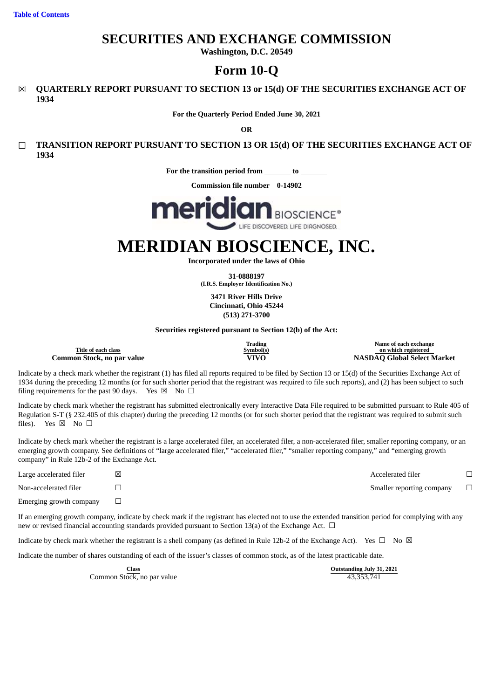# **SECURITIES AND EXCHANGE COMMISSION**

**Washington, D.C. 20549**

# **Form 10-Q**

☒ **QUARTERLY REPORT PURSUANT TO SECTION 13 or 15(d) OF THE SECURITIES EXCHANGE ACT OF 1934**

**For the Quarterly Period Ended June 30, 2021**

**OR**

☐ **TRANSITION REPORT PURSUANT TO SECTION 13 OR 15(d) OF THE SECURITIES EXCHANGE ACT OF 1934**

**For the transition period from to**

**Commission file number 0-14902**



# **MERIDIAN BIOSCIENCE, INC.**

**Incorporated under the laws of Ohio**

**31-0888197 (I.R.S. Employer Identification No.)**

**3471 River Hills Drive Cincinnati, Ohio 45244 (513) 271-3700**

**Securities registered pursuant to Section 12(b) of the Act:**

**Title of each class Common Stock, no par value VIVO NASDAQ Global Select Market**

**Trading Symbol(s)** **Name of each exchange on which registered**

Indicate by a check mark whether the registrant (1) has filed all reports required to be filed by Section 13 or 15(d) of the Securities Exchange Act of 1934 during the preceding 12 months (or for such shorter period that the registrant was required to file such reports), and (2) has been subject to such filing requirements for the past 90 days. Yes  $\boxtimes$  No  $\Box$ 

Indicate by check mark whether the registrant has submitted electronically every Interactive Data File required to be submitted pursuant to Rule 405 of Regulation S-T (§ 232.405 of this chapter) during the preceding 12 months (or for such shorter period that the registrant was required to submit such files). Yes  $\boxtimes$  No  $\square$ 

Indicate by check mark whether the registrant is a large accelerated filer, an accelerated filer, a non-accelerated filer, smaller reporting company, or an emerging growth company. See definitions of "large accelerated filer," "accelerated filer," "smaller reporting company," and "emerging growth company" in Rule 12b-2 of the Exchange Act.

| Large accelerated filer | ⊠ | Accelerated filer         |  |
|-------------------------|---|---------------------------|--|
| Non-accelerated filer   |   | Smaller reporting company |  |
| Emerging growth company |   |                           |  |

If an emerging growth company, indicate by check mark if the registrant has elected not to use the extended transition period for complying with any new or revised financial accounting standards provided pursuant to Section 13(a) of the Exchange Act.  $\Box$ 

Indicate by check mark whether the registrant is a shell company (as defined in Rule 12b-2 of the Exchange Act). Yes  $\Box$  No  $\boxtimes$ 

Indicate the number of shares outstanding of each of the issuer's classes of common stock, as of the latest practicable date.

Common Stock, no par value 43,353,741

**Class Outstanding July 31, 2021**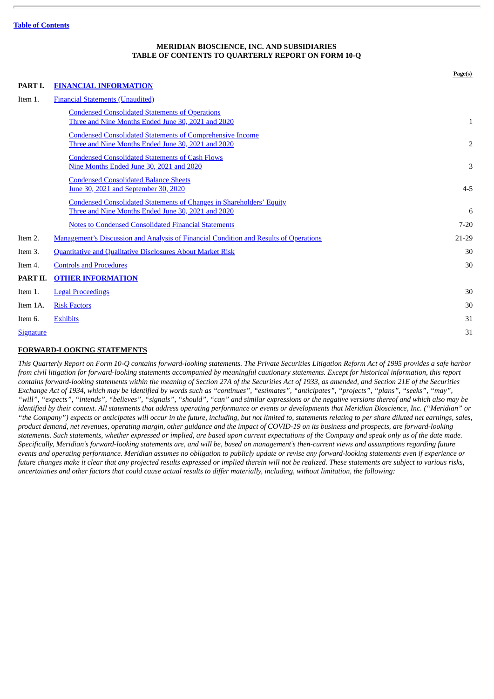# **MERIDIAN BIOSCIENCE, INC. AND SUBSIDIARIES TABLE OF CONTENTS TO QUARTERLY REPORT ON FORM 10-Q**

<span id="page-1-0"></span>

|                  |                                                                                                                                   | Page(s)        |
|------------------|-----------------------------------------------------------------------------------------------------------------------------------|----------------|
| PART I.          | <b>FINANCIAL INFORMATION</b>                                                                                                      |                |
| Item 1.          | <b>Financial Statements (Unaudited)</b>                                                                                           |                |
|                  | <b>Condensed Consolidated Statements of Operations</b><br>Three and Nine Months Ended June 30, 2021 and 2020                      | 1              |
|                  | <b>Condensed Consolidated Statements of Comprehensive Income</b><br>Three and Nine Months Ended June 30, 2021 and 2020            | $\overline{2}$ |
|                  | <b>Condensed Consolidated Statements of Cash Flows</b><br>Nine Months Ended June 30, 2021 and 2020                                | 3              |
|                  | <b>Condensed Consolidated Balance Sheets</b><br>June 30, 2021 and September 30, 2020                                              | $4 - 5$        |
|                  | <b>Condensed Consolidated Statements of Changes in Shareholders' Equity</b><br>Three and Nine Months Ended June 30, 2021 and 2020 | 6              |
|                  | <b>Notes to Condensed Consolidated Financial Statements</b>                                                                       | $7 - 20$       |
| Item 2.          | <b>Management's Discussion and Analysis of Financial Condition and Results of Operations</b>                                      | 21-29          |
| Item 3.          | <b>Quantitative and Qualitative Disclosures About Market Risk</b>                                                                 | 30             |
| Item 4.          | <b>Controls and Procedures</b>                                                                                                    | 30             |
| PART II.         | <b>OTHER INFORMATION</b>                                                                                                          |                |
| Item 1.          | <b>Legal Proceedings</b>                                                                                                          | 30             |
| Item 1A.         | <b>Risk Factors</b>                                                                                                               | 30             |
| Item 6.          | <b>Exhibits</b>                                                                                                                   | 31             |
| <b>Signature</b> |                                                                                                                                   | 31             |

# **FORWARD-LOOKING STATEMENTS**

This Quarterly Report on Form 10-Q contains forward-looking statements. The Private Securities Litigation Reform Act of 1995 provides a safe harbor from civil litigation for forward-looking statements accompanied by meaningful cautionary statements. Except for historical information, this report contains forward-looking statements within the meaning of Section 27A of the Securities Act of 1933, as amended, and Section 21E of the Securities Exchange Act of 1934, which may be identified by words such as "continues", "estimates", "anticipates", "projects", "plans", "seeks", "may", "will", "expects", "intends", "believes", "signals", "should", "can" and similar expressions or the negative versions thereof and which also may be identified by their context. All statements that address operating performance or events or developments that Meridian Bioscience, Inc. ("Meridian" or "the Company") expects or anticipates will occur in the future, including, but not limited to, statements relating to per share diluted net earnings, sales, product demand, net revenues, operating margin, other quidance and the impact of COVID-19 on its business and prospects, are forward-looking statements. Such statements, whether expressed or implied, are based upon current expectations of the Company and speak only as of the date made. Specifically, Meridian's forward-looking statements are, and will be, based on management's then-current views and assumptions regarding future events and operating performance. Meridian assumes no obligation to publicly update or revise any forward-looking statements even if experience or future changes make it clear that any projected results expressed or implied therein will not be realized. These statements are subject to various risks, uncertainties and other factors that could cause actual results to differ materially, including, without limitation, the following: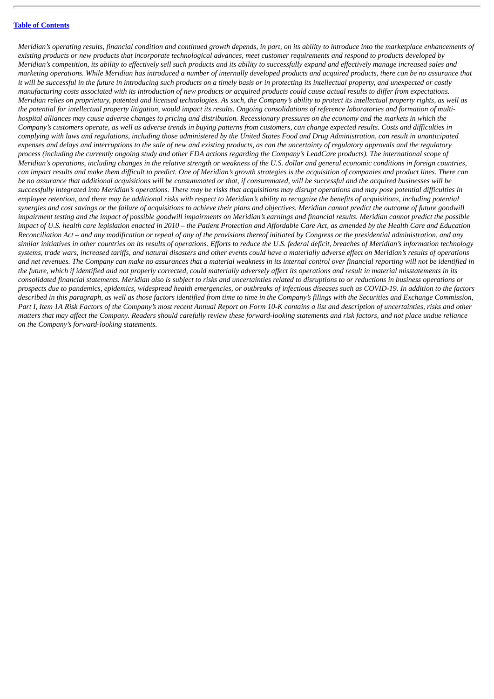Meridian's operating results, financial condition and continued growth depends, in part, on its ability to introduce into the marketplace enhancements of existing products or new products that incorporate technological advances, meet customer requirements and respond to products developed by Meridian's competition, its ability to effectively sell such products and its ability to successfully expand and effectively manage increased sales and marketing operations. While Meridian has introduced a number of internally developed products and acquired products, there can be no assurance that it will be successful in the future in introducing such products on a timely basis or in protecting its intellectual property, and unexpected or costly manufacturing costs associated with its introduction of new products or acquired products could cause actual results to differ from expectations. Meridian relies on proprietary, patented and licensed technologies. As such, the Company's ability to protect its intellectual property rights, as well as the potential for intellectual property litigation, would impact its results. Ongoing consolidations of reference laboratories and formation of multihospital alliances may cause adverse changes to pricing and distribution. Recessionary pressures on the economy and the markets in which the Company's customers operate, as well as adverse trends in buying patterns from customers, can change expected results. Costs and difficulties in complying with laws and regulations, including those administered by the United States Food and Drug Administration, can result in unanticipated expenses and delays and interruptions to the sale of new and existing products, as can the uncertainty of regulatory approvals and the regulatory process (including the currently ongoing study and other FDA actions regarding the Company's LeadCare products). The international scope of Meridian's operations, including changes in the relative strength or weakness of the U.S. dollar and general economic conditions in foreign countries, can impact results and make them difficult to predict. One of Meridian's growth strategies is the acquisition of companies and product lines. There can be no assurance that additional acquisitions will be consummated or that, if consummated, will be successful and the acquired businesses will be successfully integrated into Meridian's operations. There may be risks that acquisitions may disrupt operations and may pose potential difficulties in employee retention, and there may be additional risks with respect to Meridian's ability to recognize the benefits of acquisitions, including potential synergies and cost savings or the failure of acquisitions to achieve their plans and objectives. Meridian cannot predict the outcome of future goodwill impairment testing and the impact of possible goodwill impairments on Meridian's earnings and financial results. Meridian cannot predict the possible impact of U.S. health care legislation enacted in 2010 – the Patient Protection and Affordable Care Act, as amended by the Health Care and Education Reconciliation Act – and any modification or repeal of any of the provisions thereof initiated by Congress or the presidential administration, and any similar initiatives in other countries on its results of operations. Efforts to reduce the U.S. federal deficit, breaches of Meridian's information technology systems, trade wars, increased tariffs, and natural disasters and other events could have a materially adverse effect on Meridian's results of operations and net revenues. The Company can make no assurances that a material weakness in its internal control over financial reportina will not be identified in the future, which if identified and not properly corrected, could materially adversely affect its operations and result in material misstatements in its consolidated financial statements. Meridian also is subject to risks and uncertainties related to disruptions to or reductions in business operations or prospects due to pandemics, epidemics, widespread health emergencies, or outbreaks of infectious diseases such as COVID-19. In addition to the factors described in this paragraph, as well as those factors identified from time to time in the Company's filings with the Securities and Exchange Commission, Part I, Item 1A Risk Factors of the Company's most recent Annual Report on Form 10-K contains a list and description of uncertainties, risks and other matters that may affect the Company. Readers should carefully review these forward-looking statements and risk factors, and not place undue reliance *on the Company's forward-looking statements.*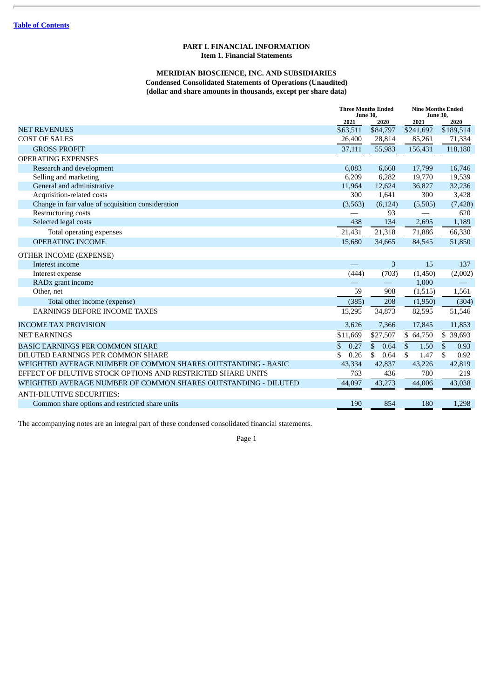#### **PART I. FINANCIAL INFORMATION Item 1. Financial Statements**

# **MERIDIAN BIOSCIENCE, INC. AND SUBSIDIARIES Condensed Consolidated Statements of Operations (Unaudited) (dollar and share amounts in thousands, except per share data)**

<span id="page-3-2"></span><span id="page-3-1"></span><span id="page-3-0"></span>

|                                                                | <b>Three Months Ended</b><br><b>June 30,</b> |                      |             | <b>Nine Months Ended</b><br><b>June 30,</b> |  |
|----------------------------------------------------------------|----------------------------------------------|----------------------|-------------|---------------------------------------------|--|
|                                                                | 2021                                         | 2020                 | 2021        | 2020                                        |  |
| <b>NET REVENUES</b>                                            | \$63,511                                     | \$84,797             | \$241,692   | \$189,514                                   |  |
| <b>COST OF SALES</b>                                           | 26,400                                       | 28,814               | 85,261      | 71,334                                      |  |
| <b>GROSS PROFIT</b>                                            | 37,111                                       | 55,983               | 156,431     | 118,180                                     |  |
| <b>OPERATING EXPENSES</b>                                      |                                              |                      |             |                                             |  |
| Research and development                                       | 6,083                                        | 6,668                | 17,799      | 16,746                                      |  |
| Selling and marketing                                          | 6,209                                        | 6,282                | 19,770      | 19,539                                      |  |
| General and administrative                                     | 11,964                                       | 12,624               | 36,827      | 32,236                                      |  |
| Acquisition-related costs                                      | 300                                          | 1,641                | 300         | 3,428                                       |  |
| Change in fair value of acquisition consideration              | (3, 563)                                     | (6, 124)             | (5,505)     | (7, 428)                                    |  |
| Restructuring costs                                            |                                              | 93                   |             | 620                                         |  |
| Selected legal costs                                           | 438                                          | 134                  | 2,695       | 1,189                                       |  |
| Total operating expenses                                       | 21,431                                       | 21,318               | 71,886      | 66,330                                      |  |
| <b>OPERATING INCOME</b>                                        | 15,680                                       | 34,665               | 84,545      | 51,850                                      |  |
| OTHER INCOME (EXPENSE)                                         |                                              |                      |             |                                             |  |
| Interest income                                                |                                              | 3                    | 15          | 137                                         |  |
| Interest expense                                               | (444)                                        | (703)                | (1,450)     | (2,002)                                     |  |
| RAD <sub>x</sub> grant income                                  |                                              |                      | 1,000       |                                             |  |
| Other, net                                                     | 59                                           | 908                  | (1,515)     | 1,561                                       |  |
| Total other income (expense)                                   | (385)                                        | 208                  | (1,950)     | (304)                                       |  |
| <b>EARNINGS BEFORE INCOME TAXES</b>                            | 15,295                                       | 34,873               | 82,595      | 51,546                                      |  |
| <b>INCOME TAX PROVISION</b>                                    | 3,626                                        | 7,366                | 17,845      | 11,853                                      |  |
| <b>NET EARNINGS</b>                                            | \$11,669                                     | \$27,507             | \$64,750    | \$ 39,693                                   |  |
| <b>BASIC EARNINGS PER COMMON SHARE</b>                         | \$.<br>0.27                                  | 0.64<br>$\mathbf{s}$ | 1.50<br>\$. | \$.<br>0.93                                 |  |
| DILUTED EARNINGS PER COMMON SHARE                              | \$<br>0.26                                   | 0.64<br>\$           | \$<br>1.47  | \$<br>0.92                                  |  |
| WEIGHTED AVERAGE NUMBER OF COMMON SHARES OUTSTANDING - BASIC   | 43,334                                       | 42,837               | 43,226      | 42,819                                      |  |
| EFFECT OF DILUTIVE STOCK OPTIONS AND RESTRICTED SHARE UNITS    | 763                                          | 436                  | 780         | 219                                         |  |
| WEIGHTED AVERAGE NUMBER OF COMMON SHARES OUTSTANDING - DILUTED | 44,097                                       | 43,273               | 44,006      | 43,038                                      |  |
| <b>ANTI-DILUTIVE SECURITIES:</b>                               |                                              |                      |             |                                             |  |
| Common share options and restricted share units                | 190                                          | 854                  | 180         | 1,298                                       |  |

The accompanying notes are an integral part of these condensed consolidated financial statements.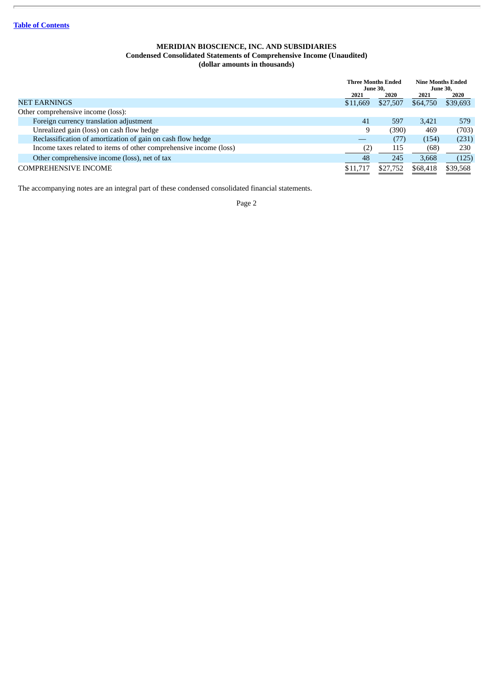#### **MERIDIAN BIOSCIENCE, INC. AND SUBSIDIARIES Condensed Consolidated Statements of Comprehensive Income (Unaudited) (dollar amounts in thousands)**

<span id="page-4-0"></span>

|                                                                    | <b>Three Months Ended</b><br><b>June 30.</b> |          | <b>Nine Months Ended</b><br><b>June 30.</b> |          |
|--------------------------------------------------------------------|----------------------------------------------|----------|---------------------------------------------|----------|
|                                                                    | 2021                                         | 2020     | 2021                                        | 2020     |
| <b>NET EARNINGS</b>                                                | \$11,669                                     | \$27,507 | \$64,750                                    | \$39,693 |
| Other comprehensive income (loss):                                 |                                              |          |                                             |          |
| Foreign currency translation adjustment                            | 41                                           | 597      | 3,421                                       | 579      |
| Unrealized gain (loss) on cash flow hedge                          | 9                                            | (390)    | 469                                         | (703)    |
| Reclassification of amortization of gain on cash flow hedge        |                                              | (77)     | (154)                                       | (231)    |
| Income taxes related to items of other comprehensive income (loss) |                                              | 115      | (68)                                        | 230      |
| Other comprehensive income (loss), net of tax                      | 48                                           | 245      | 3,668                                       | (125)    |
| <b>COMPREHENSIVE INCOME</b>                                        | \$11,717                                     | \$27,752 | \$68,418                                    | \$39,568 |

The accompanying notes are an integral part of these condensed consolidated financial statements.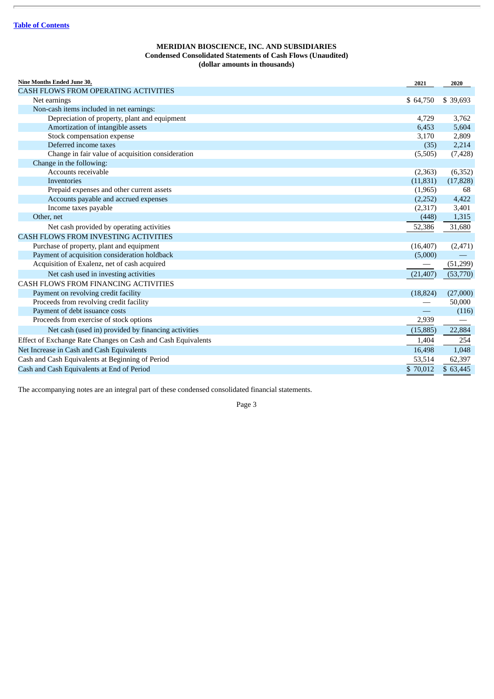#### **MERIDIAN BIOSCIENCE, INC. AND SUBSIDIARIES Condensed Consolidated Statements of Cash Flows (Unaudited) (dollar amounts in thousands)**

<span id="page-5-0"></span>

The accompanying notes are an integral part of these condensed consolidated financial statements.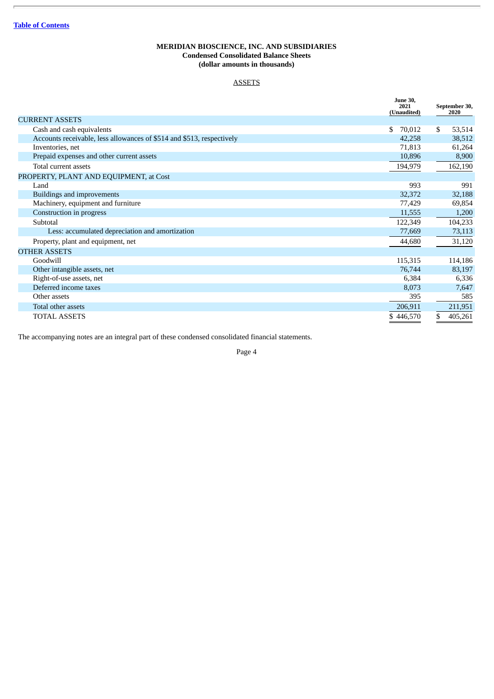# **MERIDIAN BIOSCIENCE, INC. AND SUBSIDIARIES Condensed Consolidated Balance Sheets (dollar amounts in thousands)**

# **ASSETS**

<span id="page-6-0"></span>

|                                                                       | <b>June 30.</b><br>2021<br>(Unaudited) | September 30,<br>2020 |
|-----------------------------------------------------------------------|----------------------------------------|-----------------------|
| <b>CURRENT ASSETS</b>                                                 |                                        |                       |
| Cash and cash equivalents                                             | \$<br>70,012                           | \$<br>53,514          |
| Accounts receivable, less allowances of \$514 and \$513, respectively | 42,258                                 | 38,512                |
| Inventories, net                                                      | 71,813                                 | 61,264                |
| Prepaid expenses and other current assets                             | 10,896                                 | 8,900                 |
| Total current assets                                                  | 194,979                                | 162,190               |
| PROPERTY, PLANT AND EQUIPMENT, at Cost                                |                                        |                       |
| Land                                                                  | 993                                    | 991                   |
| <b>Buildings and improvements</b>                                     | 32,372                                 | 32,188                |
| Machinery, equipment and furniture                                    | 77,429                                 | 69,854                |
| Construction in progress                                              | 11,555                                 | 1,200                 |
| Subtotal                                                              | 122,349                                | 104,233               |
| Less: accumulated depreciation and amortization                       | 77,669                                 | 73,113                |
| Property, plant and equipment, net                                    | 44,680                                 | 31,120                |
| <b>OTHER ASSETS</b>                                                   |                                        |                       |
| Goodwill                                                              | 115,315                                | 114,186               |
| Other intangible assets, net                                          | 76,744                                 | 83,197                |
| Right-of-use assets, net                                              | 6,384                                  | 6,336                 |
| Deferred income taxes                                                 | 8,073                                  | 7,647                 |
| Other assets                                                          | 395                                    | 585                   |
| Total other assets                                                    | 206,911                                | 211,951               |
| <b>TOTAL ASSETS</b>                                                   | \$446,570                              | \$<br>405,261         |

The accompanying notes are an integral part of these condensed consolidated financial statements.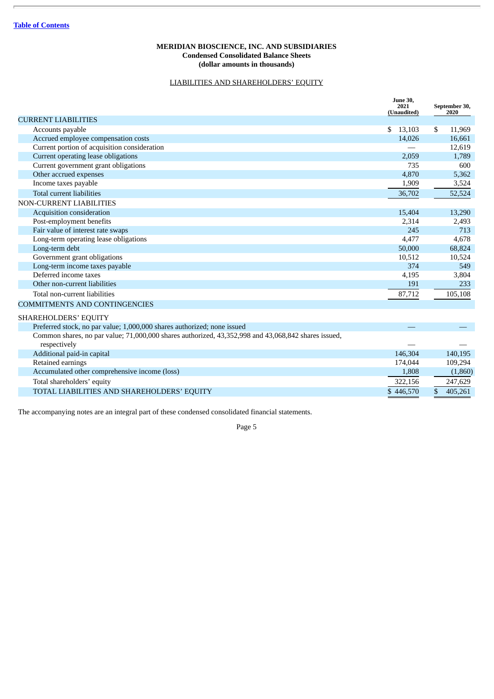#### **MERIDIAN BIOSCIENCE, INC. AND SUBSIDIARIES Condensed Consolidated Balance Sheets (dollar amounts in thousands)**

# LIABILITIES AND SHAREHOLDERS' EQUITY

|                                                                                                     | <b>June 30,</b><br>2021<br>(Unaudited) | September 30,<br>2020 |
|-----------------------------------------------------------------------------------------------------|----------------------------------------|-----------------------|
| <b>CURRENT LIABILITIES</b>                                                                          |                                        |                       |
| Accounts payable                                                                                    | \$<br>13,103                           | \$.<br>11,969         |
| Accrued employee compensation costs                                                                 | 14,026                                 | 16,661                |
| Current portion of acquisition consideration                                                        |                                        | 12,619                |
| Current operating lease obligations                                                                 | 2,059                                  | 1,789                 |
| Current government grant obligations                                                                | 735                                    | 600                   |
| Other accrued expenses                                                                              | 4,870                                  | 5,362                 |
| Income taxes payable                                                                                | 1,909                                  | 3,524                 |
| <b>Total current liabilities</b>                                                                    | 36,702                                 | 52,524                |
| <b>NON-CURRENT LIABILITIES</b>                                                                      |                                        |                       |
| Acquisition consideration                                                                           | 15,404                                 | 13,290                |
| Post-employment benefits                                                                            | 2,314                                  | 2,493                 |
| Fair value of interest rate swaps                                                                   | 245                                    | 713                   |
| Long-term operating lease obligations                                                               | 4,477                                  | 4,678                 |
| Long-term debt                                                                                      | 50,000                                 | 68,824                |
| Government grant obligations                                                                        | 10,512                                 | 10,524                |
| Long-term income taxes payable                                                                      | 374                                    | 549                   |
| Deferred income taxes                                                                               | 4,195                                  | 3,804                 |
| Other non-current liabilities                                                                       | 191                                    | 233                   |
| Total non-current liabilities                                                                       | 87,712                                 | 105,108               |
| <b>COMMITMENTS AND CONTINGENCIES</b>                                                                |                                        |                       |
| SHAREHOLDERS' EQUITY                                                                                |                                        |                       |
| Preferred stock, no par value; 1,000,000 shares authorized; none issued                             |                                        |                       |
| Common shares, no par value; 71,000,000 shares authorized, 43,352,998 and 43,068,842 shares issued, |                                        |                       |
| respectively                                                                                        |                                        |                       |
| Additional paid-in capital                                                                          | 146,304                                | 140,195               |
| Retained earnings                                                                                   | 174,044                                | 109,294               |
| Accumulated other comprehensive income (loss)                                                       | 1,808                                  | (1,860)               |
| Total shareholders' equity                                                                          | 322,156                                | 247,629               |
| TOTAL LIABILITIES AND SHAREHOLDERS' EQUITY                                                          | \$446,570                              | \$<br>405.261         |

The accompanying notes are an integral part of these condensed consolidated financial statements.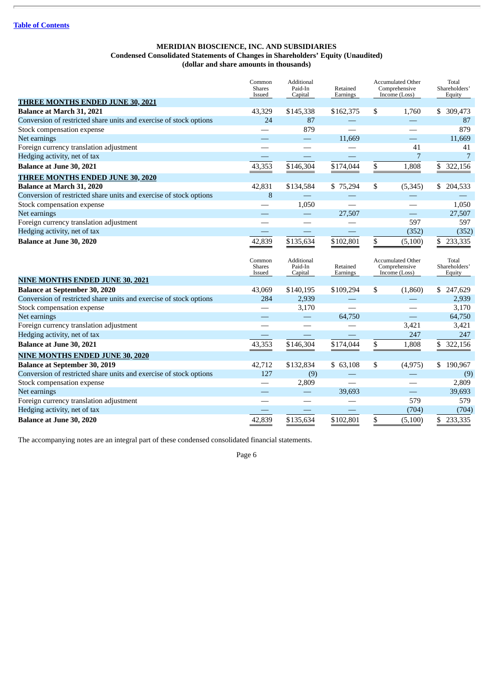#### **MERIDIAN BIOSCIENCE, INC. AND SUBSIDIARIES Condensed Consolidated Statements of Changes in Shareholders' Equity (Unaudited) (dollar and share amounts in thousands)**

<span id="page-8-0"></span>

|                                                                    | Common<br><b>Shares</b><br>Issued | Additional<br>Paid-In<br>Capital | Retained<br>Earnings | <b>Accumulated Other</b><br>Comprehensive<br>Income (Loss) | Total<br>Shareholders'<br>Equity |
|--------------------------------------------------------------------|-----------------------------------|----------------------------------|----------------------|------------------------------------------------------------|----------------------------------|
| <b>THREE MONTHS ENDED JUNE 30, 2021</b>                            |                                   |                                  |                      |                                                            |                                  |
| Balance at March 31, 2021                                          | 43,329                            | \$145,338                        | \$162,375            | \$<br>1,760                                                | \$ 309,473                       |
| Conversion of restricted share units and exercise of stock options | 24                                | 87                               |                      |                                                            | 87                               |
| Stock compensation expense                                         |                                   | 879                              |                      |                                                            | 879                              |
| Net earnings                                                       |                                   | $\qquad \qquad -$                | 11,669               | $\overline{\phantom{0}}$                                   | 11,669                           |
| Foreign currency translation adjustment                            |                                   | $\overline{\phantom{0}}$         |                      | 41                                                         | 41                               |
| Hedging activity, net of tax                                       |                                   |                                  |                      | 7                                                          | 7                                |
| Balance at June 30, 2021                                           | 43,353                            | \$146,304                        | \$174,044            | \$<br>1,808                                                | \$ 322,156                       |
| <b>THREE MONTHS ENDED JUNE 30, 2020</b>                            |                                   |                                  |                      |                                                            |                                  |
| <b>Balance at March 31, 2020</b>                                   | 42,831                            | \$134,584                        | \$75,294             | \$<br>(5, 345)                                             | \$ 204,533                       |
| Conversion of restricted share units and exercise of stock options | 8                                 |                                  |                      |                                                            |                                  |
| Stock compensation expense                                         |                                   | 1,050                            |                      |                                                            | 1,050                            |
| Net earnings                                                       |                                   |                                  | 27,507               |                                                            | 27,507                           |
| Foreign currency translation adjustment                            |                                   |                                  |                      | 597                                                        | 597                              |
| Hedging activity, net of tax                                       |                                   |                                  |                      | (352)                                                      | (352)                            |
| Balance at June 30, 2020                                           | 42,839                            | \$135,634                        | \$102,801            | \$<br>(5,100)                                              | \$<br>233,335                    |
|                                                                    |                                   |                                  |                      |                                                            |                                  |
|                                                                    | Common<br><b>Shares</b><br>Issued | Additional<br>Paid-In<br>Capital | Retained<br>Earnings | <b>Accumulated Other</b><br>Comprehensive<br>Income (Loss) | Total<br>Shareholders'<br>Equity |
| <b>NINE MONTHS ENDED JUNE 30, 2021</b>                             |                                   |                                  |                      |                                                            |                                  |
| <b>Balance at September 30, 2020</b>                               | 43,069                            | \$140,195                        | \$109,294            | \$<br>(1,860)                                              | \$247,629                        |
| Conversion of restricted share units and exercise of stock options | 284                               | 2,939                            |                      |                                                            | 2,939                            |
| Stock compensation expense                                         |                                   | 3,170                            |                      |                                                            | 3,170                            |
| Net earnings                                                       |                                   |                                  | 64,750               | $\overline{\phantom{0}}$                                   | 64,750                           |
| Foreign currency translation adjustment                            |                                   |                                  |                      | 3,421                                                      | 3,421                            |
| Hedging activity, net of tax                                       |                                   |                                  |                      | 247                                                        | 247                              |
| <b>Balance at June 30, 2021</b>                                    | 43,353                            | \$146,304                        | \$174,044            | \$<br>1,808                                                | \$ 322,156                       |
| <b>NINE MONTHS ENDED JUNE 30, 2020</b>                             |                                   |                                  |                      |                                                            |                                  |
| <b>Balance at September 30, 2019</b>                               | 42,712                            | \$132,834                        | \$63,108             | \$<br>(4, 975)                                             | \$190,967                        |
| Conversion of restricted share units and exercise of stock options | 127                               | (9)                              |                      |                                                            |                                  |
| Stock compensation expense                                         |                                   | 2,809                            |                      |                                                            | (9)<br>2,809                     |
| Net earnings                                                       |                                   |                                  | 39,693               |                                                            | 39,693                           |
| Foreign currency translation adjustment                            |                                   |                                  |                      | 579                                                        | 579                              |
| Hedging activity, net of tax                                       |                                   |                                  |                      | (704)                                                      | (704)                            |

The accompanying notes are an integral part of these condensed consolidated financial statements.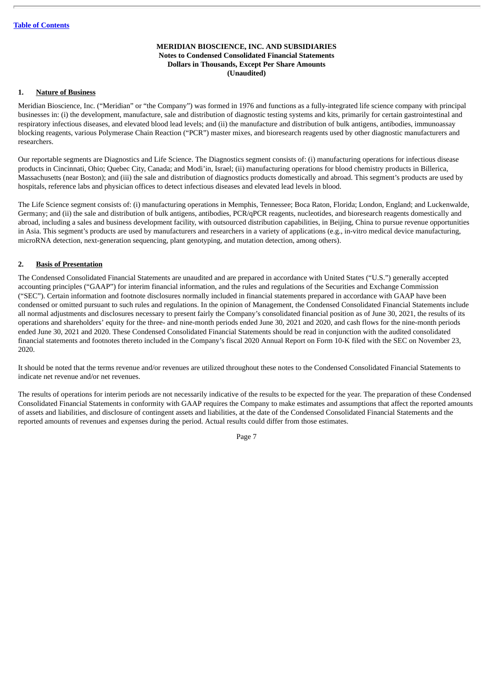#### **MERIDIAN BIOSCIENCE, INC. AND SUBSIDIARIES Notes to Condensed Consolidated Financial Statements Dollars in Thousands, Except Per Share Amounts (Unaudited)**

# <span id="page-9-0"></span>**1. Nature of Business**

Meridian Bioscience, Inc. ("Meridian" or "the Company") was formed in 1976 and functions as a fully-integrated life science company with principal businesses in: (i) the development, manufacture, sale and distribution of diagnostic testing systems and kits, primarily for certain gastrointestinal and respiratory infectious diseases, and elevated blood lead levels; and (ii) the manufacture and distribution of bulk antigens, antibodies, immunoassay blocking reagents, various Polymerase Chain Reaction ("PCR") master mixes, and bioresearch reagents used by other diagnostic manufacturers and researchers.

Our reportable segments are Diagnostics and Life Science. The Diagnostics segment consists of: (i) manufacturing operations for infectious disease products in Cincinnati, Ohio; Quebec City, Canada; and Modi'in, Israel; (ii) manufacturing operations for blood chemistry products in Billerica, Massachusetts (near Boston); and (iii) the sale and distribution of diagnostics products domestically and abroad. This segment's products are used by hospitals, reference labs and physician offices to detect infectious diseases and elevated lead levels in blood.

The Life Science segment consists of: (i) manufacturing operations in Memphis, Tennessee; Boca Raton, Florida; London, England; and Luckenwalde, Germany; and (ii) the sale and distribution of bulk antigens, antibodies, PCR/qPCR reagents, nucleotides, and bioresearch reagents domestically and abroad, including a sales and business development facility, with outsourced distribution capabilities, in Beijing, China to pursue revenue opportunities in Asia. This segment's products are used by manufacturers and researchers in a variety of applications (e.g., in-vitro medical device manufacturing, microRNA detection, next-generation sequencing, plant genotyping, and mutation detection, among others).

# **2. Basis of Presentation**

The Condensed Consolidated Financial Statements are unaudited and are prepared in accordance with United States ("U.S.") generally accepted accounting principles ("GAAP") for interim financial information, and the rules and regulations of the Securities and Exchange Commission ("SEC"). Certain information and footnote disclosures normally included in financial statements prepared in accordance with GAAP have been condensed or omitted pursuant to such rules and regulations. In the opinion of Management, the Condensed Consolidated Financial Statements include all normal adjustments and disclosures necessary to present fairly the Company's consolidated financial position as of June 30, 2021, the results of its operations and shareholders' equity for the three- and nine-month periods ended June 30, 2021 and 2020, and cash flows for the nine-month periods ended June 30, 2021 and 2020. These Condensed Consolidated Financial Statements should be read in conjunction with the audited consolidated financial statements and footnotes thereto included in the Company's fiscal 2020 Annual Report on Form 10-K filed with the SEC on November 23, 2020.

It should be noted that the terms revenue and/or revenues are utilized throughout these notes to the Condensed Consolidated Financial Statements to indicate net revenue and/or net revenues.

The results of operations for interim periods are not necessarily indicative of the results to be expected for the year. The preparation of these Condensed Consolidated Financial Statements in conformity with GAAP requires the Company to make estimates and assumptions that affect the reported amounts of assets and liabilities, and disclosure of contingent assets and liabilities, at the date of the Condensed Consolidated Financial Statements and the reported amounts of revenues and expenses during the period. Actual results could differ from those estimates.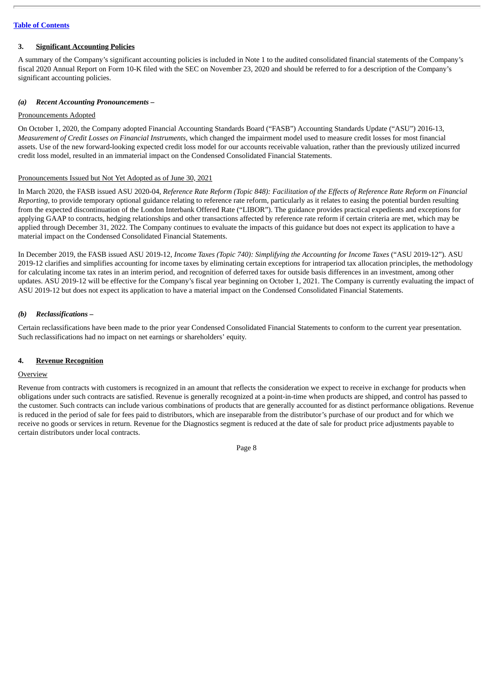# **3. Significant Accounting Policies**

A summary of the Company's significant accounting policies is included in Note 1 to the audited consolidated financial statements of the Company's fiscal 2020 Annual Report on Form 10-K filed with the SEC on November 23, 2020 and should be referred to for a description of the Company's significant accounting policies.

#### *(a) Recent Accounting Pronouncements –*

#### Pronouncements Adopted

On October 1, 2020, the Company adopted Financial Accounting Standards Board ("FASB") Accounting Standards Update ("ASU") 2016-13, *Measurement of Credit Losses on Financial Instruments*, which changed the impairment model used to measure credit losses for most financial assets. Use of the new forward-looking expected credit loss model for our accounts receivable valuation, rather than the previously utilized incurred credit loss model, resulted in an immaterial impact on the Condensed Consolidated Financial Statements.

#### Pronouncements Issued but Not Yet Adopted as of June 30, 2021

In March 2020, the FASB issued ASU 2020-04, Reference Rate Reform (Topic 848): Facilitation of the Effects of Reference Rate Reform on Financial *Reporting*, to provide temporary optional guidance relating to reference rate reform, particularly as it relates to easing the potential burden resulting from the expected discontinuation of the London Interbank Offered Rate ("LIBOR"). The guidance provides practical expedients and exceptions for applying GAAP to contracts, hedging relationships and other transactions affected by reference rate reform if certain criteria are met, which may be applied through December 31, 2022. The Company continues to evaluate the impacts of this guidance but does not expect its application to have a material impact on the Condensed Consolidated Financial Statements.

In December 2019, the FASB issued ASU 2019-12, *Income Taxes (Topic 740): Simplifying the Accounting for Income Taxes* ("ASU 2019-12"). ASU 2019-12 clarifies and simplifies accounting for income taxes by eliminating certain exceptions for intraperiod tax allocation principles, the methodology for calculating income tax rates in an interim period, and recognition of deferred taxes for outside basis differences in an investment, among other updates. ASU 2019-12 will be effective for the Company's fiscal year beginning on October 1, 2021. The Company is currently evaluating the impact of ASU 2019-12 but does not expect its application to have a material impact on the Condensed Consolidated Financial Statements.

# *(b) Reclassifications –*

Certain reclassifications have been made to the prior year Condensed Consolidated Financial Statements to conform to the current year presentation. Such reclassifications had no impact on net earnings or shareholders' equity.

# **4. Revenue Recognition**

#### **Overview**

Revenue from contracts with customers is recognized in an amount that reflects the consideration we expect to receive in exchange for products when obligations under such contracts are satisfied. Revenue is generally recognized at a point-in-time when products are shipped, and control has passed to the customer. Such contracts can include various combinations of products that are generally accounted for as distinct performance obligations. Revenue is reduced in the period of sale for fees paid to distributors, which are inseparable from the distributor's purchase of our product and for which we receive no goods or services in return. Revenue for the Diagnostics segment is reduced at the date of sale for product price adjustments payable to certain distributors under local contracts.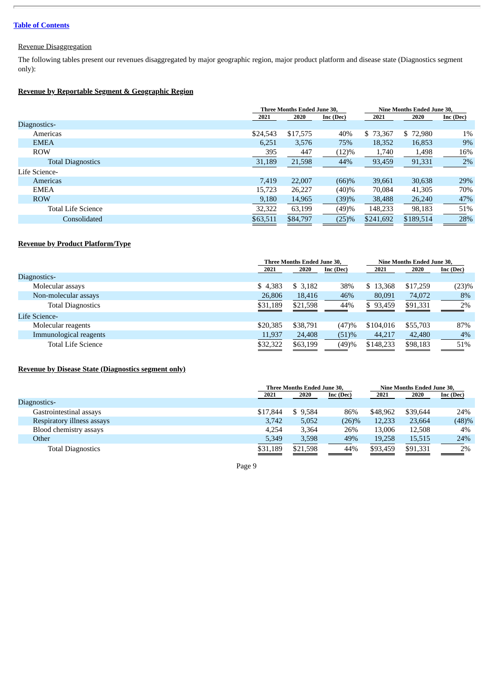# Revenue Disaggregation

The following tables present our revenues disaggregated by major geographic region, major product platform and disease state (Diagnostics segment only):

# **Revenue by Reportable Segment & Geographic Region**

|                           | <b>Three Months Ended June 30.</b> |          |           | <b>Nine Months Ended June 30.</b> |           |           |
|---------------------------|------------------------------------|----------|-----------|-----------------------------------|-----------|-----------|
|                           | 2021                               | 2020     | Inc (Dec) | 2021                              | 2020      | Inc (Dec) |
| Diagnostics-              |                                    |          |           |                                   |           |           |
| Americas                  | \$24,543                           | \$17,575 | 40%       | \$73,367                          | \$72,980  | $1\%$     |
| <b>EMEA</b>               | 6,251                              | 3,576    | 75%       | 18,352                            | 16,853    | 9%        |
| <b>ROW</b>                | 395                                | 447      | (12)%     | 1,740                             | 1,498     | 16%       |
| <b>Total Diagnostics</b>  | 31,189                             | 21,598   | 44%       | 93,459                            | 91,331    | 2%        |
| Life Science-             |                                    |          |           |                                   |           |           |
| Americas                  | 7,419                              | 22,007   | (66)%     | 39,661                            | 30,638    | 29%       |
| <b>EMEA</b>               | 15,723                             | 26,227   | (40)%     | 70,084                            | 41,305    | 70%       |
| <b>ROW</b>                | 9,180                              | 14,965   | (39)%     | 38,488                            | 26,240    | 47%       |
| <b>Total Life Science</b> | 32,322                             | 63,199   | (49)%     | 148,233                           | 98,183    | 51%       |
| Consolidated              | \$63,511                           | \$84,797 | (25)%     | \$241,692                         | \$189,514 | 28%       |

# **Revenue by Product Platform/Type**

|                           |          | <b>Three Months Ended June 30.</b> |           |           | Nine Months Ended June 30, |           |  |
|---------------------------|----------|------------------------------------|-----------|-----------|----------------------------|-----------|--|
|                           | 2021     | 2020                               | Inc (Dec) | 2021      | 2020                       | Inc (Dec) |  |
| Diagnostics-              |          |                                    |           |           |                            |           |  |
| Molecular assays          | \$4,383  | \$3,182                            | 38%       | \$13,368  | \$17,259                   | (23)%     |  |
| Non-molecular assays      | 26,806   | 18,416                             | 46%       | 80,091    | 74,072                     | 8%        |  |
| <b>Total Diagnostics</b>  | \$31,189 | \$21,598                           | 44%       | \$93,459  | \$91,331                   | 2%        |  |
| Life Science-             |          |                                    |           |           |                            |           |  |
| Molecular reagents        | \$20,385 | \$38,791                           | (47)%     | \$104,016 | \$55,703                   | 87%       |  |
| Immunological reagents    | 11,937   | 24,408                             | (51)%     | 44,217    | 42,480                     | 4%        |  |
| <b>Total Life Science</b> | \$32,322 | \$63,199                           | (49)%     | \$148,233 | \$98,183                   | 51%       |  |

# **Revenue by Disease State (Diagnostics segment only)**

|                            |          | Three Months Ended June 30, |           | Nine Months Ended June 30, |          |           |
|----------------------------|----------|-----------------------------|-----------|----------------------------|----------|-----------|
|                            | 2021     | 2020                        | Inc (Dec) | 2021                       | 2020     | Inc (Dec) |
| Diagnostics-               |          |                             |           |                            |          |           |
| Gastrointestinal assays    | \$17,844 | \$9.584                     | 86%       | \$48,962                   | \$39,644 | 24%       |
| Respiratory illness assays | 3,742    | 5,052                       | $(26)\%$  | 12,233                     | 23,664   | (48)%     |
| Blood chemistry assays     | 4.254    | 3.364                       | 26%       | 13,006                     | 12,508   | 4%        |
| Other                      | 5,349    | 3,598                       | 49%       | 19,258                     | 15,515   | 24%       |
| <b>Total Diagnostics</b>   | \$31,189 | \$21,598                    | 44%       | \$93,459                   | \$91,331 | 2%        |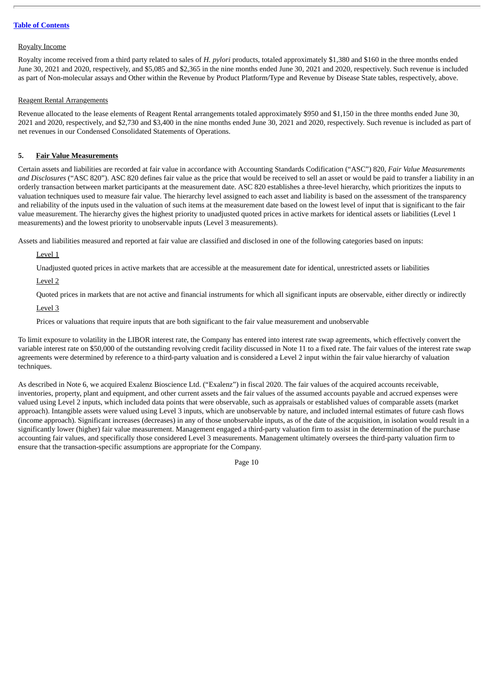#### Royalty Income

Royalty income received from a third party related to sales of *H. pylori* products, totaled approximately \$1,380 and \$160 in the three months ended June 30, 2021 and 2020, respectively, and \$5,085 and \$2,365 in the nine months ended June 30, 2021 and 2020, respectively. Such revenue is included as part of Non-molecular assays and Other within the Revenue by Product Platform/Type and Revenue by Disease State tables, respectively, above.

# Reagent Rental Arrangements

Revenue allocated to the lease elements of Reagent Rental arrangements totaled approximately \$950 and \$1,150 in the three months ended June 30, 2021 and 2020, respectively, and \$2,730 and \$3,400 in the nine months ended June 30, 2021 and 2020, respectively. Such revenue is included as part of net revenues in our Condensed Consolidated Statements of Operations.

# **5. Fair Value Measurements**

Certain assets and liabilities are recorded at fair value in accordance with Accounting Standards Codification ("ASC") 820, *Fair Value Measurements and Disclosures* ("ASC 820"). ASC 820 defines fair value as the price that would be received to sell an asset or would be paid to transfer a liability in an orderly transaction between market participants at the measurement date. ASC 820 establishes a three-level hierarchy, which prioritizes the inputs to valuation techniques used to measure fair value. The hierarchy level assigned to each asset and liability is based on the assessment of the transparency and reliability of the inputs used in the valuation of such items at the measurement date based on the lowest level of input that is significant to the fair value measurement. The hierarchy gives the highest priority to unadjusted quoted prices in active markets for identical assets or liabilities (Level 1 measurements) and the lowest priority to unobservable inputs (Level 3 measurements).

Assets and liabilities measured and reported at fair value are classified and disclosed in one of the following categories based on inputs:

Level 1

Unadjusted quoted prices in active markets that are accessible at the measurement date for identical, unrestricted assets or liabilities

Level 2

Quoted prices in markets that are not active and financial instruments for which all significant inputs are observable, either directly or indirectly

Level 3

Prices or valuations that require inputs that are both significant to the fair value measurement and unobservable

To limit exposure to volatility in the LIBOR interest rate, the Company has entered into interest rate swap agreements, which effectively convert the variable interest rate on \$50,000 of the outstanding revolving credit facility discussed in Note 11 to a fixed rate. The fair values of the interest rate swap agreements were determined by reference to a third-party valuation and is considered a Level 2 input within the fair value hierarchy of valuation techniques.

As described in Note 6, we acquired Exalenz Bioscience Ltd. ("Exalenz") in fiscal 2020. The fair values of the acquired accounts receivable, inventories, property, plant and equipment, and other current assets and the fair values of the assumed accounts payable and accrued expenses were valued using Level 2 inputs, which included data points that were observable, such as appraisals or established values of comparable assets (market approach). Intangible assets were valued using Level 3 inputs, which are unobservable by nature, and included internal estimates of future cash flows (income approach). Significant increases (decreases) in any of those unobservable inputs, as of the date of the acquisition, in isolation would result in a significantly lower (higher) fair value measurement. Management engaged a third-party valuation firm to assist in the determination of the purchase accounting fair values, and specifically those considered Level 3 measurements. Management ultimately oversees the third-party valuation firm to ensure that the transaction-specific assumptions are appropriate for the Company.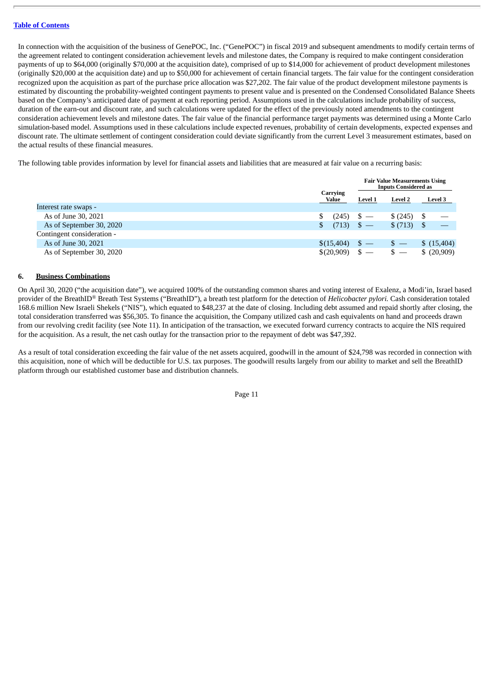In connection with the acquisition of the business of GenePOC, Inc. ("GenePOC") in fiscal 2019 and subsequent amendments to modify certain terms of the agreement related to contingent consideration achievement levels and milestone dates, the Company is required to make contingent consideration payments of up to \$64,000 (originally \$70,000 at the acquisition date), comprised of up to \$14,000 for achievement of product development milestones (originally \$20,000 at the acquisition date) and up to \$50,000 for achievement of certain financial targets. The fair value for the contingent consideration recognized upon the acquisition as part of the purchase price allocation was \$27,202. The fair value of the product development milestone payments is estimated by discounting the probability-weighted contingent payments to present value and is presented on the Condensed Consolidated Balance Sheets based on the Company's anticipated date of payment at each reporting period. Assumptions used in the calculations include probability of success, duration of the earn-out and discount rate, and such calculations were updated for the effect of the previously noted amendments to the contingent consideration achievement levels and milestone dates. The fair value of the financial performance target payments was determined using a Monte Carlo simulation-based model. Assumptions used in these calculations include expected revenues, probability of certain developments, expected expenses and discount rate. The ultimate settlement of contingent consideration could deviate significantly from the current Level 3 measurement estimates, based on the actual results of these financial measures.

The following table provides information by level for financial assets and liabilities that are measured at fair value on a recurring basis:

|                            |                   |              | <b>Fair Value Measurements Using</b><br><b>Inputs Considered as</b> |                |
|----------------------------|-------------------|--------------|---------------------------------------------------------------------|----------------|
|                            | Carrying<br>Value | Level 1      | <b>Level 2</b>                                                      | <b>Level 3</b> |
| Interest rate swaps -      |                   |              |                                                                     |                |
| As of June 30, 2021        | (245)             |              | \$(245)                                                             |                |
| As of September 30, 2020   | (713)             | $\sqrt{3}$ — | \$(713)                                                             |                |
| Contingent consideration - |                   |              |                                                                     |                |
| As of June 30, 2021        | \$(15,404)        |              | $\mathbb{S}$ —                                                      | \$(15,404)     |
| As of September 30, 2020   | \$(20,909)        |              | $s -$                                                               | \$(20,909)     |

# **6. Business Combinations**

On April 30, 2020 ("the acquisition date"), we acquired 100% of the outstanding common shares and voting interest of Exalenz, a Modi'in, Israel based provider of the BreathID*®* Breath Test Systems ("BreathID"), a breath test platform for the detection of *Helicobacter pylori.* Cash consideration totaled 168.6 million New Israeli Shekels ("NIS"), which equated to \$48,237 at the date of closing. Including debt assumed and repaid shortly after closing, the total consideration transferred was \$56,305. To finance the acquisition, the Company utilized cash and cash equivalents on hand and proceeds drawn from our revolving credit facility (see Note 11). In anticipation of the transaction, we executed forward currency contracts to acquire the NIS required for the acquisition. As a result, the net cash outlay for the transaction prior to the repayment of debt was \$47,392.

As a result of total consideration exceeding the fair value of the net assets acquired, goodwill in the amount of \$24,798 was recorded in connection with this acquisition, none of which will be deductible for U.S. tax purposes. The goodwill results largely from our ability to market and sell the BreathID platform through our established customer base and distribution channels.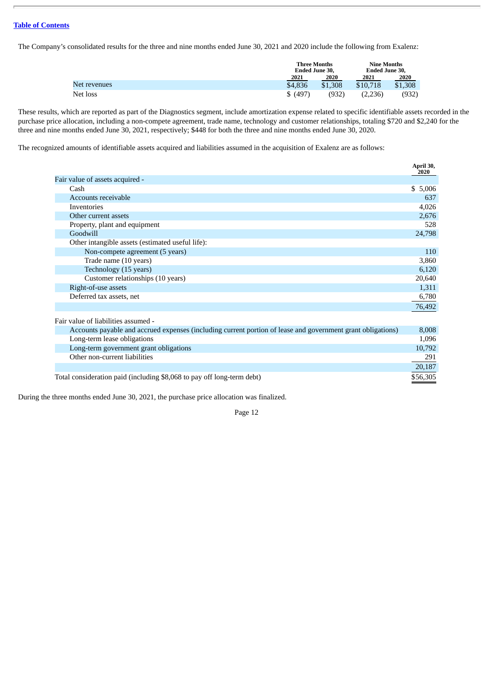The Company's consolidated results for the three and nine months ended June 30, 2021 and 2020 include the following from Exalenz:

|              |          | <b>Three Months</b><br>Ended June 30. |          | <b>Nine Months</b><br><b>Ended June 30.</b> |
|--------------|----------|---------------------------------------|----------|---------------------------------------------|
|              | 2021     | 2020                                  | 2021     | 2020                                        |
| Net revenues | \$4,836  | \$1,308                               | \$10,718 | \$1,308                                     |
| Net loss     | \$ (497) | (932)                                 | (2,236)  | (932)                                       |

These results, which are reported as part of the Diagnostics segment, include amortization expense related to specific identifiable assets recorded in the purchase price allocation, including a non-compete agreement, trade name, technology and customer relationships, totaling \$720 and \$2,240 for the three and nine months ended June 30, 2021, respectively; \$448 for both the three and nine months ended June 30, 2020.

The recognized amounts of identifiable assets acquired and liabilities assumed in the acquisition of Exalenz are as follows:

|                                                                                                             | April 30,<br>2020 |
|-------------------------------------------------------------------------------------------------------------|-------------------|
| Fair value of assets acquired -                                                                             |                   |
| Cash                                                                                                        | \$5,006           |
| Accounts receivable                                                                                         | 637               |
| <b>Inventories</b>                                                                                          | 4,026             |
| Other current assets                                                                                        | 2,676             |
| Property, plant and equipment                                                                               | 528               |
| Goodwill                                                                                                    | 24,798            |
| Other intangible assets (estimated useful life):                                                            |                   |
| Non-compete agreement (5 years)                                                                             | 110               |
| Trade name (10 years)                                                                                       | 3,860             |
| Technology (15 years)                                                                                       | 6,120             |
| Customer relationships (10 years)                                                                           | 20,640            |
| Right-of-use assets                                                                                         | 1,311             |
| Deferred tax assets, net                                                                                    | 6,780             |
|                                                                                                             | 76,492            |
| Fair value of liabilities assumed -                                                                         |                   |
| Accounts payable and accrued expenses (including current portion of lease and government grant obligations) | 8,008             |
| Long-term lease obligations                                                                                 | 1,096             |
| Long-term government grant obligations                                                                      | 10,792            |
| Other non-current liabilities                                                                               | 291               |
|                                                                                                             | 20,187            |
| Total consideration paid (including \$8,068 to pay off long-term debt)                                      | \$56,305          |

During the three months ended June 30, 2021, the purchase price allocation was finalized.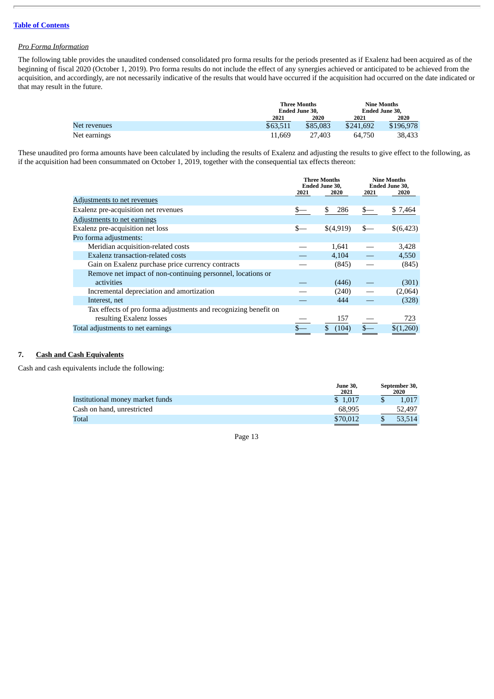# *Pro Forma Information*

The following table provides the unaudited condensed consolidated pro forma results for the periods presented as if Exalenz had been acquired as of the beginning of fiscal 2020 (October 1, 2019). Pro forma results do not include the effect of any synergies achieved or anticipated to be achieved from the acquisition, and accordingly, are not necessarily indicative of the results that would have occurred if the acquisition had occurred on the date indicated or that may result in the future.

|              |          | <b>Three Months</b><br>Ended June 30. |           | Nine Months<br>Ended June 30. |
|--------------|----------|---------------------------------------|-----------|-------------------------------|
|              | 2021     | 2020                                  | 2021      | 2020                          |
| Net revenues | \$63,511 | \$85,083                              | \$241,692 | \$196,978                     |
| Net earnings | 11.669   | 27.403                                | 64.750    | 38.433                        |

These unaudited pro forma amounts have been calculated by including the results of Exalenz and adjusting the results to give effect to the following, as if the acquisition had been consummated on October 1, 2019, together with the consequential tax effects thereon:

|                                                                 | <b>Three Months</b><br><b>Ended June 30,</b> |           | <b>Nine Months</b><br>Ended June 30, |           |
|-----------------------------------------------------------------|----------------------------------------------|-----------|--------------------------------------|-----------|
|                                                                 | 2021                                         | 2020      | 2021                                 | 2020      |
| Adjustments to net revenues                                     |                                              |           |                                      |           |
| Exalenz pre-acquisition net revenues                            |                                              | \$<br>286 | $_{-}$                               | \$7,464   |
| Adjustments to net earnings                                     |                                              |           |                                      |           |
| Exalenz pre-acquisition net loss                                | $s-$                                         | \$(4,919) | $s-$                                 | \$(6,423) |
| Pro forma adjustments:                                          |                                              |           |                                      |           |
| Meridian acquisition-related costs                              |                                              | 1,641     |                                      | 3,428     |
| Exalenz transaction-related costs                               |                                              | 4,104     |                                      | 4,550     |
| Gain on Exalenz purchase price currency contracts               |                                              | (845)     |                                      | (845)     |
| Remove net impact of non-continuing personnel, locations or     |                                              |           |                                      |           |
| activities                                                      |                                              | (446)     |                                      | (301)     |
| Incremental depreciation and amortization                       |                                              | (240)     |                                      | (2,064)   |
| Interest, net                                                   |                                              | 444       |                                      | (328)     |
| Tax effects of pro forma adjustments and recognizing benefit on |                                              |           |                                      |           |
| resulting Exalenz losses                                        |                                              | 157       |                                      | 723       |
| Total adjustments to net earnings                               |                                              | (104)     |                                      | \$(1,260) |

# **7. Cash and Cash Equivalents**

Cash and cash equivalents include the following:

|                                  | <b>June 30.</b><br>2021 | September 30,<br>2020 |
|----------------------------------|-------------------------|-----------------------|
| Institutional money market funds | \$1.017                 | 1.017                 |
| Cash on hand, unrestricted       | 68.995                  | 52,497                |
| Total                            | \$70,012                | 53.514                |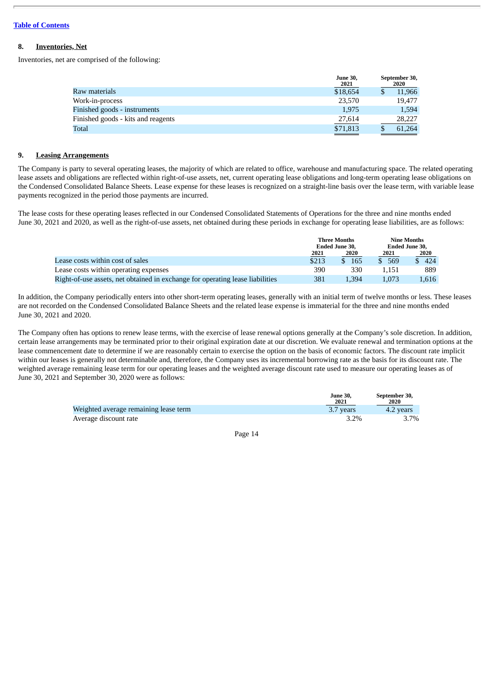#### **8. Inventories, Net**

Inventories, net are comprised of the following:

|                                    | <b>June 30,</b><br>2021 | September 30,<br>2020 |
|------------------------------------|-------------------------|-----------------------|
| Raw materials                      | \$18,654                | 11,966                |
| Work-in-process                    | 23,570                  | 19.477                |
| Finished goods - instruments       | 1.975                   | 1.594                 |
| Finished goods - kits and reagents | 27,614                  | 28,227                |
| Total                              | \$71,813                | 61,264                |
|                                    |                         |                       |

#### **9. Leasing Arrangements**

The Company is party to several operating leases, the majority of which are related to office, warehouse and manufacturing space. The related operating lease assets and obligations are reflected within right-of-use assets, net, current operating lease obligations and long-term operating lease obligations on the Condensed Consolidated Balance Sheets. Lease expense for these leases is recognized on a straight-line basis over the lease term, with variable lease payments recognized in the period those payments are incurred.

The lease costs for these operating leases reflected in our Condensed Consolidated Statements of Operations for the three and nine months ended June 30, 2021 and 2020, as well as the right-of-use assets, net obtained during these periods in exchange for operating lease liabilities, are as follows:

|                                                                               | <b>Three Months</b><br><b>Ended June 30.</b> |       | Nine Months<br><b>Ended June 30,</b> |       |
|-------------------------------------------------------------------------------|----------------------------------------------|-------|--------------------------------------|-------|
|                                                                               | 2021                                         | 2020  | 2021                                 | 2020  |
| Lease costs within cost of sales                                              | \$213                                        | 165   | 569                                  | 424   |
| Lease costs within operating expenses                                         | 390                                          | 330   | 1.151                                | 889   |
| Right-of-use assets, net obtained in exchange for operating lease liabilities | 381                                          | 1.394 | 1.073                                | 1.616 |

In addition, the Company periodically enters into other short-term operating leases, generally with an initial term of twelve months or less. These leases are not recorded on the Condensed Consolidated Balance Sheets and the related lease expense is immaterial for the three and nine months ended June 30, 2021 and 2020.

The Company often has options to renew lease terms, with the exercise of lease renewal options generally at the Company's sole discretion. In addition, certain lease arrangements may be terminated prior to their original expiration date at our discretion. We evaluate renewal and termination options at the lease commencement date to determine if we are reasonably certain to exercise the option on the basis of economic factors. The discount rate implicit within our leases is generally not determinable and, therefore, the Company uses its incremental borrowing rate as the basis for its discount rate. The weighted average remaining lease term for our operating leases and the weighted average discount rate used to measure our operating leases as of June 30, 2021 and September 30, 2020 were as follows:

|                                       | <b>June 30.</b><br>2021 | September 30,<br>2020 |
|---------------------------------------|-------------------------|-----------------------|
| Weighted average remaining lease term | 3.7 years               | 4.2 years             |
| Average discount rate                 | 3.2%                    | 3.7%                  |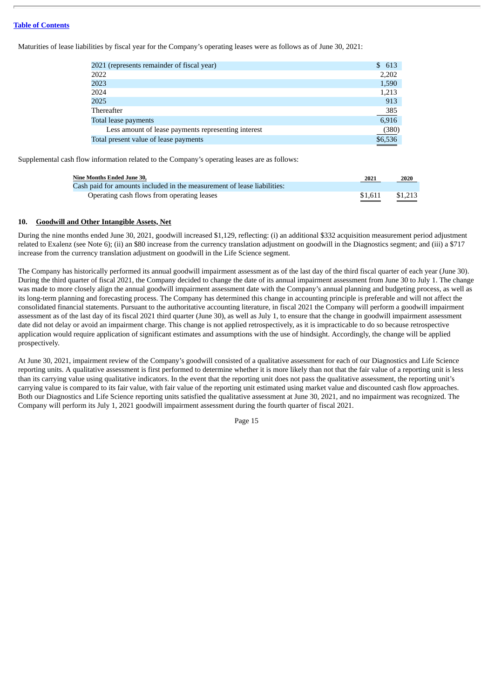Maturities of lease liabilities by fiscal year for the Company's operating leases were as follows as of June 30, 2021:

| \$ 613  |
|---------|
| 2,202   |
| 1,590   |
| 1,213   |
| 913     |
| 385     |
| 6,916   |
| (380)   |
| \$6,536 |
|         |

Supplemental cash flow information related to the Company's operating leases are as follows:

| Nine Months Ended June 30.                                              | 2021    | 2020    |
|-------------------------------------------------------------------------|---------|---------|
| Cash paid for amounts included in the measurement of lease liabilities: |         |         |
| Operating cash flows from operating leases                              | \$1.611 | \$1.213 |

#### **10. Goodwill and Other Intangible Assets, Net**

During the nine months ended June 30, 2021, goodwill increased \$1,129, reflecting: (i) an additional \$332 acquisition measurement period adjustment related to Exalenz (see Note 6); (ii) an \$80 increase from the currency translation adjustment on goodwill in the Diagnostics segment; and (iii) a \$717 increase from the currency translation adjustment on goodwill in the Life Science segment.

The Company has historically performed its annual goodwill impairment assessment as of the last day of the third fiscal quarter of each year (June 30). During the third quarter of fiscal 2021, the Company decided to change the date of its annual impairment assessment from June 30 to July 1. The change was made to more closely align the annual goodwill impairment assessment date with the Company's annual planning and budgeting process, as well as its long-term planning and forecasting process. The Company has determined this change in accounting principle is preferable and will not affect the consolidated financial statements. Pursuant to the authoritative accounting literature, in fiscal 2021 the Company will perform a goodwill impairment assessment as of the last day of its fiscal 2021 third quarter (June 30), as well as July 1, to ensure that the change in goodwill impairment assessment date did not delay or avoid an impairment charge. This change is not applied retrospectively, as it is impracticable to do so because retrospective application would require application of significant estimates and assumptions with the use of hindsight. Accordingly, the change will be applied prospectively.

At June 30, 2021, impairment review of the Company's goodwill consisted of a qualitative assessment for each of our Diagnostics and Life Science reporting units. A qualitative assessment is first performed to determine whether it is more likely than not that the fair value of a reporting unit is less than its carrying value using qualitative indicators. In the event that the reporting unit does not pass the qualitative assessment, the reporting unit's carrying value is compared to its fair value, with fair value of the reporting unit estimated using market value and discounted cash flow approaches. Both our Diagnostics and Life Science reporting units satisfied the qualitative assessment at June 30, 2021, and no impairment was recognized. The Company will perform its July 1, 2021 goodwill impairment assessment during the fourth quarter of fiscal 2021.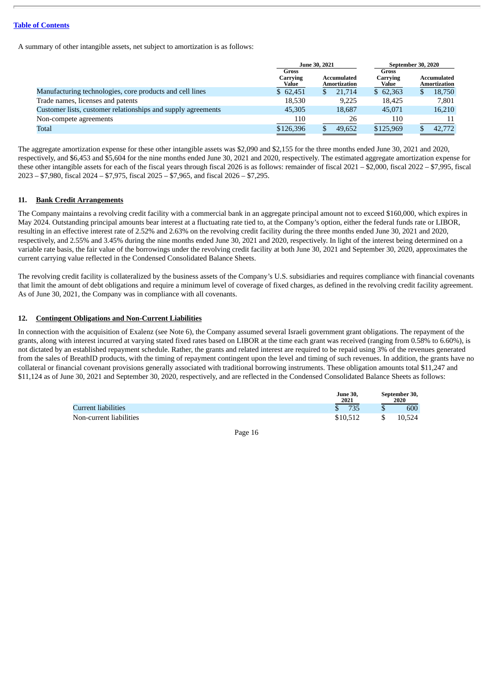A summary of other intangible assets, net subject to amortization is as follows:

|                                                              | June 30, 2021              |                             | September 30, 2020         |                             |  |
|--------------------------------------------------------------|----------------------------|-----------------------------|----------------------------|-----------------------------|--|
|                                                              | Gross<br>Carrying<br>Value | Accumulated<br>Amortization | Gross<br>Carrying<br>Value | Accumulated<br>Amortization |  |
| Manufacturing technologies, core products and cell lines     | \$62.451                   | 21,714                      | \$62.363                   | 18,750<br>D                 |  |
| Trade names, licenses and patents                            | 18,530                     | 9.225                       | 18.425                     | 7.801                       |  |
| Customer lists, customer relationships and supply agreements | 45,305                     | 18.687                      | 45,071                     | 16,210                      |  |
| Non-compete agreements                                       | 110                        | 26                          | 110                        | 11                          |  |
| Total                                                        | \$126,396                  | 49,652                      | \$125,969                  | 42,772                      |  |

The aggregate amortization expense for these other intangible assets was \$2,090 and \$2,155 for the three months ended June 30, 2021 and 2020, respectively, and \$6,453 and \$5,604 for the nine months ended June 30, 2021 and 2020, respectively. The estimated aggregate amortization expense for these other intangible assets for each of the fiscal years through fiscal 2026 is as follows: remainder of fiscal 2021 – \$2,000, fiscal 2022 – \$7,995, fiscal 2023 – \$7,980, fiscal 2024 – \$7,975, fiscal 2025 – \$7,965, and fiscal 2026 – \$7,295.

#### **11. Bank Credit Arrangements**

The Company maintains a revolving credit facility with a commercial bank in an aggregate principal amount not to exceed \$160,000, which expires in May 2024. Outstanding principal amounts bear interest at a fluctuating rate tied to, at the Company's option, either the federal funds rate or LIBOR, resulting in an effective interest rate of 2.52% and 2.63% on the revolving credit facility during the three months ended June 30, 2021 and 2020, respectively, and 2.55% and 3.45% during the nine months ended June 30, 2021 and 2020, respectively. In light of the interest being determined on a variable rate basis, the fair value of the borrowings under the revolving credit facility at both June 30, 2021 and September 30, 2020, approximates the current carrying value reflected in the Condensed Consolidated Balance Sheets.

The revolving credit facility is collateralized by the business assets of the Company's U.S. subsidiaries and requires compliance with financial covenants that limit the amount of debt obligations and require a minimum level of coverage of fixed charges, as defined in the revolving credit facility agreement. As of June 30, 2021, the Company was in compliance with all covenants.

# **12. Contingent Obligations and Non-Current Liabilities**

In connection with the acquisition of Exalenz (see Note 6), the Company assumed several Israeli government grant obligations. The repayment of the grants, along with interest incurred at varying stated fixed rates based on LIBOR at the time each grant was received (ranging from 0.58% to 6.60%), is not dictated by an established repayment schedule. Rather, the grants and related interest are required to be repaid using 3% of the revenues generated from the sales of BreathID products, with the timing of repayment contingent upon the level and timing of such revenues. In addition, the grants have no collateral or financial covenant provisions generally associated with traditional borrowing instruments. These obligation amounts total \$11,247 and \$11,124 as of June 30, 2021 and September 30, 2020, respectively, and are reflected in the Condensed Consolidated Balance Sheets as follows:

|                         | <b>June 30.</b><br>2021 | September 30,<br>2020 |
|-------------------------|-------------------------|-----------------------|
| Current liabilities     | 735                     | 600                   |
| Non-current liabilities | \$10,512                | 10.524                |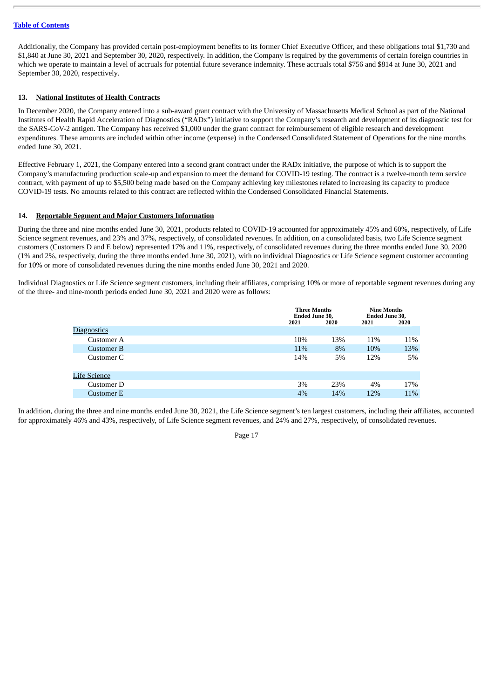Additionally, the Company has provided certain post-employment benefits to its former Chief Executive Officer, and these obligations total \$1,730 and \$1,840 at June 30, 2021 and September 30, 2020, respectively. In addition, the Company is required by the governments of certain foreign countries in which we operate to maintain a level of accruals for potential future severance indemnity. These accruals total \$756 and \$814 at June 30, 2021 and September 30, 2020, respectively.

#### **13. National Institutes of Health Contracts**

In December 2020, the Company entered into a sub-award grant contract with the University of Massachusetts Medical School as part of the National Institutes of Health Rapid Acceleration of Diagnostics ("RADx") initiative to support the Company's research and development of its diagnostic test for the SARS-CoV-2 antigen. The Company has received \$1,000 under the grant contract for reimbursement of eligible research and development expenditures. These amounts are included within other income (expense) in the Condensed Consolidated Statement of Operations for the nine months ended June 30, 2021.

Effective February 1, 2021, the Company entered into a second grant contract under the RADx initiative, the purpose of which is to support the Company's manufacturing production scale-up and expansion to meet the demand for COVID-19 testing. The contract is a twelve-month term service contract, with payment of up to \$5,500 being made based on the Company achieving key milestones related to increasing its capacity to produce COVID-19 tests. No amounts related to this contract are reflected within the Condensed Consolidated Financial Statements.

#### **14. Reportable Segment and Major Customers Information**

During the three and nine months ended June 30, 2021, products related to COVID-19 accounted for approximately 45% and 60%, respectively, of Life Science segment revenues, and 23% and 37%, respectively, of consolidated revenues. In addition, on a consolidated basis, two Life Science segment customers (Customers D and E below) represented 17% and 11%, respectively, of consolidated revenues during the three months ended June 30, 2020 (1% and 2%, respectively, during the three months ended June 30, 2021), with no individual Diagnostics or Life Science segment customer accounting for 10% or more of consolidated revenues during the nine months ended June 30, 2021 and 2020.

Individual Diagnostics or Life Science segment customers, including their affiliates, comprising 10% or more of reportable segment revenues during any of the three- and nine-month periods ended June 30, 2021 and 2020 were as follows:

|                     |      | <b>Three Months</b><br><b>Ended June 30,</b> |       | <b>Nine Months</b><br><b>Ended June 30,</b> |
|---------------------|------|----------------------------------------------|-------|---------------------------------------------|
|                     | 2021 | 2020                                         | 2021  | 2020                                        |
| <b>Diagnostics</b>  |      |                                              |       |                                             |
| Customer A          | 10%  | 13%                                          | 11%   | 11%                                         |
| Customer B          | 11%  | 8%                                           | 10%   | 13%                                         |
| Customer C          | 14%  | 5%                                           | 12%   | 5%                                          |
| <b>Life Science</b> |      |                                              |       |                                             |
| Customer D          | 3%   | 23%                                          | $4\%$ | 17%                                         |
| Customer E          | 4%   | 14%                                          | 12%   | 11%                                         |

In addition, during the three and nine months ended June 30, 2021, the Life Science segment's ten largest customers, including their affiliates, accounted for approximately 46% and 43%, respectively, of Life Science segment revenues, and 24% and 27%, respectively, of consolidated revenues.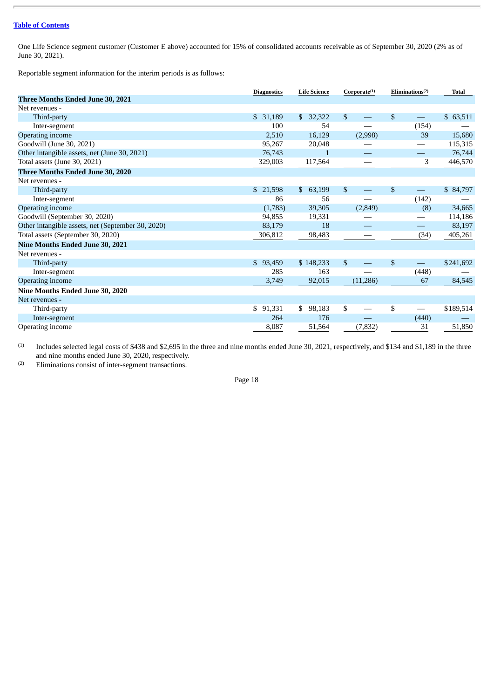One Life Science segment customer (Customer E above) accounted for 15% of consolidated accounts receivable as of September 30, 2020 (2% as of June 30, 2021).

Reportable segment information for the interim periods is as follows:

|                                                   | <b>Diagnostics</b> | <b>Life Science</b>    | Corporate <sup>(1)</sup> | Eliminations <sup>(2)</sup> |                                                 | <b>Total</b> |
|---------------------------------------------------|--------------------|------------------------|--------------------------|-----------------------------|-------------------------------------------------|--------------|
| Three Months Ended June 30, 2021                  |                    |                        |                          |                             |                                                 |              |
| Net revenues -                                    |                    |                        |                          |                             |                                                 |              |
| Third-party                                       | \$31,189           | 32,322<br>$\mathbb{S}$ | $\mathfrak{S}$           |                             | \$                                              | \$63,511     |
| Inter-segment                                     | 100                | 54                     |                          |                             | (154)                                           |              |
| Operating income                                  | 2,510              | 16,129                 |                          | (2,998)                     | 39                                              | 15,680       |
| Goodwill (June 30, 2021)                          | 95,267             | 20,048                 |                          |                             |                                                 | 115,315      |
| Other intangible assets, net (June 30, 2021)      | 76,743             | 1                      |                          | $\hspace{0.05cm}$           | —                                               | 76,744       |
| Total assets (June 30, 2021)                      | 329,003            | 117,564                |                          |                             | 3                                               | 446,570      |
| Three Months Ended June 30, 2020                  |                    |                        |                          |                             |                                                 |              |
| Net revenues -                                    |                    |                        |                          |                             |                                                 |              |
| Third-party                                       | \$21,598           | \$63,199               | $\mathbb{S}$             | $\qquad \qquad -$           | $\mathbb{S}$<br>$\hspace{0.1mm}-\hspace{0.1mm}$ | \$84,797     |
| Inter-segment                                     | 86                 | 56                     |                          |                             | (142)                                           |              |
| <b>Operating income</b>                           | (1,783)            | 39,305                 |                          | (2,849)                     | (8)                                             | 34,665       |
| Goodwill (September 30, 2020)                     | 94,855             | 19,331                 |                          |                             |                                                 | 114,186      |
| Other intangible assets, net (September 30, 2020) | 83,179             | 18                     |                          |                             | $\overline{\phantom{0}}$                        | 83,197       |
| Total assets (September 30, 2020)                 | 306,812            | 98,483                 |                          |                             | (34)                                            | 405,261      |
| <b>Nine Months Ended June 30, 2021</b>            |                    |                        |                          |                             |                                                 |              |
| Net revenues -                                    |                    |                        |                          |                             |                                                 |              |
| Third-party                                       | \$93,459           | \$148,233              | $\mathfrak{S}$           |                             | \$                                              | \$241,692    |
| Inter-segment                                     | 285                | 163                    |                          |                             | (448)                                           |              |
| Operating income                                  | 3,749              | 92,015                 |                          | (11,286)                    | 67                                              | 84,545       |
| Nine Months Ended June 30, 2020                   |                    |                        |                          |                             |                                                 |              |
| Net revenues -                                    |                    |                        |                          |                             |                                                 |              |
| Third-party                                       | \$91,331           | 98,183<br>\$           | \$                       |                             | \$<br>$\hspace{0.05cm}$                         | \$189,514    |
| Inter-segment                                     | 264                | 176                    |                          |                             | (440)                                           |              |
| Operating income                                  | 8,087              | 51,564                 |                          | (7, 832)                    | 31                                              | 51,850       |

(1) Includes selected legal costs of \$438 and \$2,695 in the three and nine months ended June 30, 2021, respectively, and \$134 and \$1,189 in the three and nine months ended June 30, 2020, respectively.

(2) Eliminations consist of inter-segment transactions.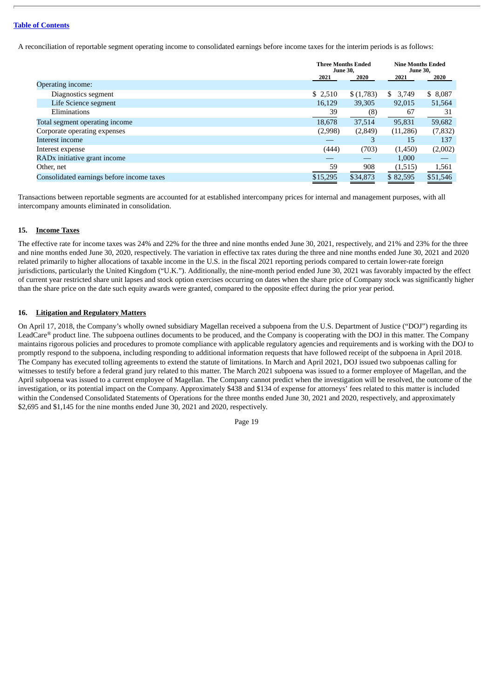A reconciliation of reportable segment operating income to consolidated earnings before income taxes for the interim periods is as follows:

|                                           | <b>June 30,</b> | <b>Three Months Ended</b> | <b>Nine Months Ended</b><br><b>June 30,</b> |          |
|-------------------------------------------|-----------------|---------------------------|---------------------------------------------|----------|
|                                           | 2021            | 2020                      | 2021                                        | 2020     |
| Operating income:                         |                 |                           |                                             |          |
| Diagnostics segment                       | \$2,510         | \$(1,783)                 | 3,749<br>\$                                 | \$8,087  |
| Life Science segment                      | 16,129          | 39,305                    | 92,015                                      | 51,564   |
| Eliminations                              | 39              | (8)                       | 67                                          | 31       |
| Total segment operating income            | 18,678          | 37,514                    | 95,831                                      | 59,682   |
| Corporate operating expenses              | (2,998)         | (2,849)                   | (11,286)                                    | (7, 832) |
| Interest income                           |                 | 3                         | 15                                          | 137      |
| Interest expense                          | (444)           | (703)                     | (1,450)                                     | (2,002)  |
| RADx initiative grant income              |                 |                           | 1.000                                       |          |
| Other, net                                | 59              | 908                       | (1,515)                                     | 1,561    |
| Consolidated earnings before income taxes | \$15,295        | \$34,873                  | \$82,595                                    | \$51,546 |

Transactions between reportable segments are accounted for at established intercompany prices for internal and management purposes, with all intercompany amounts eliminated in consolidation.

# **15. Income Taxes**

The effective rate for income taxes was 24% and 22% for the three and nine months ended June 30, 2021, respectively, and 21% and 23% for the three and nine months ended June 30, 2020, respectively. The variation in effective tax rates during the three and nine months ended June 30, 2021 and 2020 related primarily to higher allocations of taxable income in the U.S. in the fiscal 2021 reporting periods compared to certain lower-rate foreign jurisdictions, particularly the United Kingdom ("U.K."). Additionally, the nine-month period ended June 30, 2021 was favorably impacted by the effect of current year restricted share unit lapses and stock option exercises occurring on dates when the share price of Company stock was significantly higher than the share price on the date such equity awards were granted, compared to the opposite effect during the prior year period.

# **16. Litigation and Regulatory Matters**

On April 17, 2018, the Company's wholly owned subsidiary Magellan received a subpoena from the U.S. Department of Justice ("DOJ") regarding its LeadCare*®* product line. The subpoena outlines documents to be produced, and the Company is cooperating with the DOJ in this matter. The Company maintains rigorous policies and procedures to promote compliance with applicable regulatory agencies and requirements and is working with the DOJ to promptly respond to the subpoena, including responding to additional information requests that have followed receipt of the subpoena in April 2018. The Company has executed tolling agreements to extend the statute of limitations. In March and April 2021, DOJ issued two subpoenas calling for witnesses to testify before a federal grand jury related to this matter. The March 2021 subpoena was issued to a former employee of Magellan, and the April subpoena was issued to a current employee of Magellan. The Company cannot predict when the investigation will be resolved, the outcome of the investigation, or its potential impact on the Company. Approximately \$438 and \$134 of expense for attorneys' fees related to this matter is included within the Condensed Consolidated Statements of Operations for the three months ended June 30, 2021 and 2020, respectively, and approximately \$2,695 and \$1,145 for the nine months ended June 30, 2021 and 2020, respectively.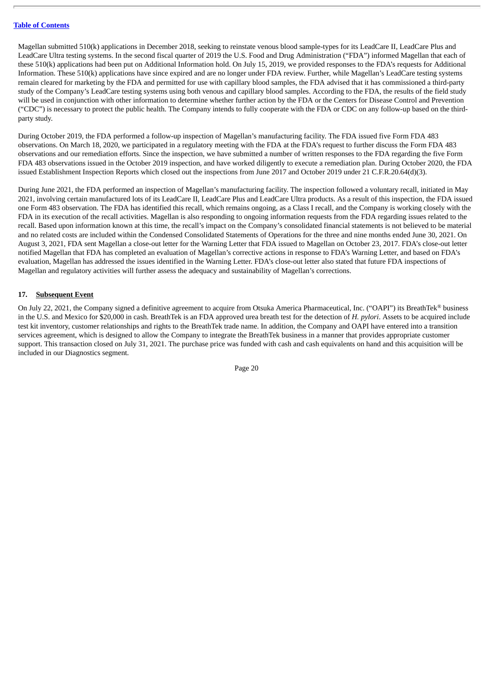Magellan submitted 510(k) applications in December 2018, seeking to reinstate venous blood sample-types for its LeadCare II, LeadCare Plus and LeadCare Ultra testing systems. In the second fiscal quarter of 2019 the U.S. Food and Drug Administration ("FDA") informed Magellan that each of these 510(k) applications had been put on Additional Information hold. On July 15, 2019, we provided responses to the FDA's requests for Additional Information. These 510(k) applications have since expired and are no longer under FDA review. Further, while Magellan's LeadCare testing systems remain cleared for marketing by the FDA and permitted for use with capillary blood samples, the FDA advised that it has commissioned a third-party study of the Company's LeadCare testing systems using both venous and capillary blood samples. According to the FDA, the results of the field study will be used in conjunction with other information to determine whether further action by the FDA or the Centers for Disease Control and Prevention ("CDC") is necessary to protect the public health. The Company intends to fully cooperate with the FDA or CDC on any follow-up based on the thirdparty study.

During October 2019, the FDA performed a follow-up inspection of Magellan's manufacturing facility. The FDA issued five Form FDA 483 observations. On March 18, 2020, we participated in a regulatory meeting with the FDA at the FDA's request to further discuss the Form FDA 483 observations and our remediation efforts. Since the inspection, we have submitted a number of written responses to the FDA regarding the five Form FDA 483 observations issued in the October 2019 inspection, and have worked diligently to execute a remediation plan. During October 2020, the FDA issued Establishment Inspection Reports which closed out the inspections from June 2017 and October 2019 under 21 C.F.R.20.64(d)(3).

During June 2021, the FDA performed an inspection of Magellan's manufacturing facility. The inspection followed a voluntary recall, initiated in May 2021, involving certain manufactured lots of its LeadCare II, LeadCare Plus and LeadCare Ultra products. As a result of this inspection, the FDA issued one Form 483 observation. The FDA has identified this recall, which remains ongoing, as a Class I recall, and the Company is working closely with the FDA in its execution of the recall activities. Magellan is also responding to ongoing information requests from the FDA regarding issues related to the recall. Based upon information known at this time, the recall's impact on the Company's consolidated financial statements is not believed to be material and no related costs are included within the Condensed Consolidated Statements of Operations for the three and nine months ended June 30, 2021. On August 3, 2021, FDA sent Magellan a close-out letter for the Warning Letter that FDA issued to Magellan on October 23, 2017. FDA's close-out letter notified Magellan that FDA has completed an evaluation of Magellan's corrective actions in response to FDA's Warning Letter, and based on FDA's evaluation, Magellan has addressed the issues identified in the Warning Letter. FDA's close-out letter also stated that future FDA inspections of Magellan and regulatory activities will further assess the adequacy and sustainability of Magellan's corrections.

# **17. Subsequent Event**

On July 22, 2021, the Company signed a definitive agreement to acquire from Otsuka America Pharmaceutical, Inc. ("OAPI") its BreathTek*®* business in the U.S. and Mexico for \$20,000 in cash. BreathTek is an FDA approved urea breath test for the detection of *H. pylori*. Assets to be acquired include test kit inventory, customer relationships and rights to the BreathTek trade name. In addition, the Company and OAPI have entered into a transition services agreement, which is designed to allow the Company to integrate the BreathTek business in a manner that provides appropriate customer support. This transaction closed on July 31, 2021. The purchase price was funded with cash and cash equivalents on hand and this acquisition will be included in our Diagnostics segment.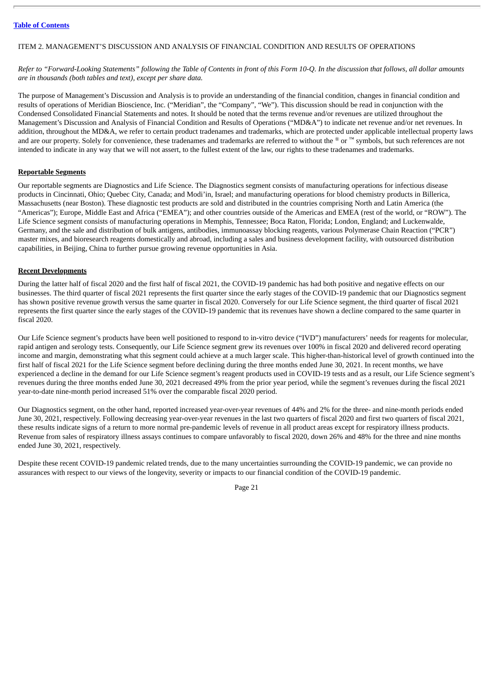#### <span id="page-23-0"></span>ITEM 2. MANAGEMENT'S DISCUSSION AND ANALYSIS OF FINANCIAL CONDITION AND RESULTS OF OPERATIONS

Refer to "Forward-Looking Statements" following the Table of Contents in front of this Form 10-Q. In the discussion that follows, all dollar amounts *are in thousands (both tables and text), except per share data.*

The purpose of Management's Discussion and Analysis is to provide an understanding of the financial condition, changes in financial condition and results of operations of Meridian Bioscience, Inc. ("Meridian", the "Company", "We"). This discussion should be read in conjunction with the Condensed Consolidated Financial Statements and notes. It should be noted that the terms revenue and/or revenues are utilized throughout the Management's Discussion and Analysis of Financial Condition and Results of Operations ("MD&A") to indicate net revenue and/or net revenues. In addition, throughout the MD&A, we refer to certain product tradenames and trademarks, which are protected under applicable intellectual property laws and are our property. Solely for convenience, these tradenames and trademarks are referred to without the *®* or ™ symbols, but such references are not intended to indicate in any way that we will not assert, to the fullest extent of the law, our rights to these tradenames and trademarks.

#### **Reportable Segments**

Our reportable segments are Diagnostics and Life Science. The Diagnostics segment consists of manufacturing operations for infectious disease products in Cincinnati, Ohio; Quebec City, Canada; and Modi'in, Israel; and manufacturing operations for blood chemistry products in Billerica, Massachusetts (near Boston). These diagnostic test products are sold and distributed in the countries comprising North and Latin America (the "Americas"); Europe, Middle East and Africa ("EMEA"); and other countries outside of the Americas and EMEA (rest of the world, or "ROW"). The Life Science segment consists of manufacturing operations in Memphis, Tennessee; Boca Raton, Florida; London, England; and Luckenwalde, Germany, and the sale and distribution of bulk antigens, antibodies, immunoassay blocking reagents, various Polymerase Chain Reaction ("PCR") master mixes, and bioresearch reagents domestically and abroad, including a sales and business development facility, with outsourced distribution capabilities, in Beijing, China to further pursue growing revenue opportunities in Asia.

#### **Recent Developments**

During the latter half of fiscal 2020 and the first half of fiscal 2021, the COVID-19 pandemic has had both positive and negative effects on our businesses. The third quarter of fiscal 2021 represents the first quarter since the early stages of the COVID-19 pandemic that our Diagnostics segment has shown positive revenue growth versus the same quarter in fiscal 2020. Conversely for our Life Science segment, the third quarter of fiscal 2021 represents the first quarter since the early stages of the COVID-19 pandemic that its revenues have shown a decline compared to the same quarter in fiscal 2020.

Our Life Science segment's products have been well positioned to respond to in-vitro device ("IVD") manufacturers' needs for reagents for molecular, rapid antigen and serology tests. Consequently, our Life Science segment grew its revenues over 100% in fiscal 2020 and delivered record operating income and margin, demonstrating what this segment could achieve at a much larger scale. This higher-than-historical level of growth continued into the first half of fiscal 2021 for the Life Science segment before declining during the three months ended June 30, 2021. In recent months, we have experienced a decline in the demand for our Life Science segment's reagent products used in COVID-19 tests and as a result, our Life Science segment's revenues during the three months ended June 30, 2021 decreased 49% from the prior year period, while the segment's revenues during the fiscal 2021 year-to-date nine-month period increased 51% over the comparable fiscal 2020 period.

Our Diagnostics segment, on the other hand, reported increased year-over-year revenues of 44% and 2% for the three- and nine-month periods ended June 30, 2021, respectively. Following decreasing year-over-year revenues in the last two quarters of fiscal 2020 and first two quarters of fiscal 2021, these results indicate signs of a return to more normal pre-pandemic levels of revenue in all product areas except for respiratory illness products. Revenue from sales of respiratory illness assays continues to compare unfavorably to fiscal 2020, down 26% and 48% for the three and nine months ended June 30, 2021, respectively.

Despite these recent COVID-19 pandemic related trends, due to the many uncertainties surrounding the COVID-19 pandemic, we can provide no assurances with respect to our views of the longevity, severity or impacts to our financial condition of the COVID-19 pandemic.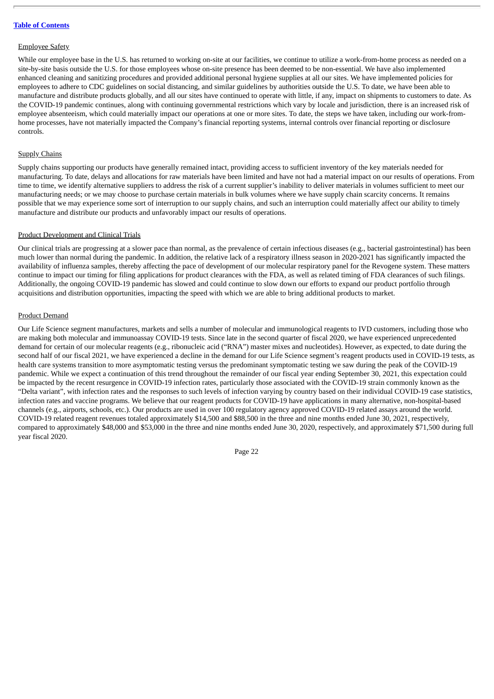#### Employee Safety

While our employee base in the U.S. has returned to working on-site at our facilities, we continue to utilize a work-from-home process as needed on a site-by-site basis outside the U.S. for those employees whose on-site presence has been deemed to be non-essential. We have also implemented enhanced cleaning and sanitizing procedures and provided additional personal hygiene supplies at all our sites. We have implemented policies for employees to adhere to CDC guidelines on social distancing, and similar guidelines by authorities outside the U.S. To date, we have been able to manufacture and distribute products globally, and all our sites have continued to operate with little, if any, impact on shipments to customers to date. As the COVID-19 pandemic continues, along with continuing governmental restrictions which vary by locale and jurisdiction, there is an increased risk of employee absenteeism, which could materially impact our operations at one or more sites. To date, the steps we have taken, including our work-fromhome processes, have not materially impacted the Company's financial reporting systems, internal controls over financial reporting or disclosure controls.

#### **Supply Chains**

Supply chains supporting our products have generally remained intact, providing access to sufficient inventory of the key materials needed for manufacturing. To date, delays and allocations for raw materials have been limited and have not had a material impact on our results of operations. From time to time, we identify alternative suppliers to address the risk of a current supplier's inability to deliver materials in volumes sufficient to meet our manufacturing needs; or we may choose to purchase certain materials in bulk volumes where we have supply chain scarcity concerns. It remains possible that we may experience some sort of interruption to our supply chains, and such an interruption could materially affect our ability to timely manufacture and distribute our products and unfavorably impact our results of operations.

#### Product Development and Clinical Trials

Our clinical trials are progressing at a slower pace than normal, as the prevalence of certain infectious diseases (e.g., bacterial gastrointestinal) has been much lower than normal during the pandemic. In addition, the relative lack of a respiratory illness season in 2020-2021 has significantly impacted the availability of influenza samples, thereby affecting the pace of development of our molecular respiratory panel for the Revogene system. These matters continue to impact our timing for filing applications for product clearances with the FDA, as well as related timing of FDA clearances of such filings. Additionally, the ongoing COVID-19 pandemic has slowed and could continue to slow down our efforts to expand our product portfolio through acquisitions and distribution opportunities, impacting the speed with which we are able to bring additional products to market.

#### Product Demand

Our Life Science segment manufactures, markets and sells a number of molecular and immunological reagents to IVD customers, including those who are making both molecular and immunoassay COVID-19 tests. Since late in the second quarter of fiscal 2020, we have experienced unprecedented demand for certain of our molecular reagents (e.g., ribonucleic acid ("RNA") master mixes and nucleotides). However, as expected, to date during the second half of our fiscal 2021, we have experienced a decline in the demand for our Life Science segment's reagent products used in COVID-19 tests, as health care systems transition to more asymptomatic testing versus the predominant symptomatic testing we saw during the peak of the COVID-19 pandemic. While we expect a continuation of this trend throughout the remainder of our fiscal year ending September 30, 2021, this expectation could be impacted by the recent resurgence in COVID-19 infection rates, particularly those associated with the COVID-19 strain commonly known as the "Delta variant", with infection rates and the responses to such levels of infection varying by country based on their individual COVID-19 case statistics, infection rates and vaccine programs. We believe that our reagent products for COVID-19 have applications in many alternative, non-hospital-based channels (e.g., airports, schools, etc.). Our products are used in over 100 regulatory agency approved COVID-19 related assays around the world. COVID-19 related reagent revenues totaled approximately \$14,500 and \$88,500 in the three and nine months ended June 30, 2021, respectively, compared to approximately \$48,000 and \$53,000 in the three and nine months ended June 30, 2020, respectively, and approximately \$71,500 during full year fiscal 2020.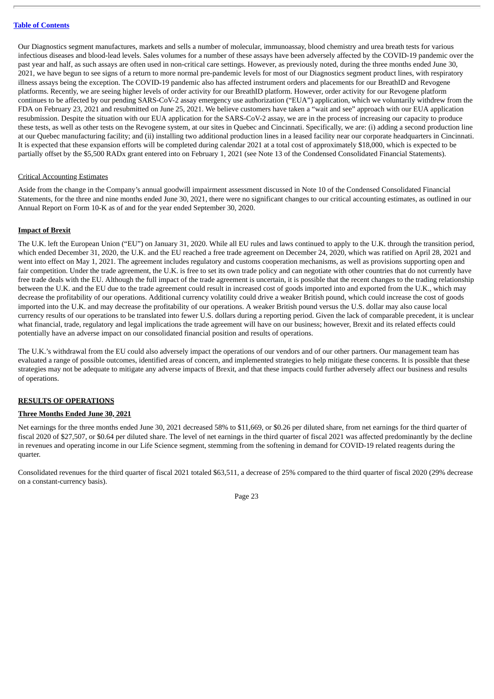Our Diagnostics segment manufactures, markets and sells a number of molecular, immunoassay, blood chemistry and urea breath tests for various infectious diseases and blood-lead levels. Sales volumes for a number of these assays have been adversely affected by the COVID-19 pandemic over the past year and half, as such assays are often used in non-critical care settings. However, as previously noted, during the three months ended June 30, 2021, we have begun to see signs of a return to more normal pre-pandemic levels for most of our Diagnostics segment product lines, with respiratory illness assays being the exception. The COVID-19 pandemic also has affected instrument orders and placements for our BreathID and Revogene platforms. Recently, we are seeing higher levels of order activity for our BreathID platform. However, order activity for our Revogene platform continues to be affected by our pending SARS-CoV-2 assay emergency use authorization ("EUA") application, which we voluntarily withdrew from the FDA on February 23, 2021 and resubmitted on June 25, 2021. We believe customers have taken a "wait and see" approach with our EUA application resubmission. Despite the situation with our EUA application for the SARS-CoV-2 assay, we are in the process of increasing our capacity to produce these tests, as well as other tests on the Revogene system, at our sites in Quebec and Cincinnati. Specifically, we are: (i) adding a second production line at our Quebec manufacturing facility; and (ii) installing two additional production lines in a leased facility near our corporate headquarters in Cincinnati. It is expected that these expansion efforts will be completed during calendar 2021 at a total cost of approximately \$18,000, which is expected to be partially offset by the \$5,500 RADx grant entered into on February 1, 2021 (see Note 13 of the Condensed Consolidated Financial Statements).

#### Critical Accounting Estimates

Aside from the change in the Company's annual goodwill impairment assessment discussed in Note 10 of the Condensed Consolidated Financial Statements, for the three and nine months ended June 30, 2021, there were no significant changes to our critical accounting estimates, as outlined in our Annual Report on Form 10-K as of and for the year ended September 30, 2020.

#### **Impact of Brexit**

The U.K. left the European Union ("EU") on January 31, 2020. While all EU rules and laws continued to apply to the U.K. through the transition period, which ended December 31, 2020, the U.K. and the EU reached a free trade agreement on December 24, 2020, which was ratified on April 28, 2021 and went into effect on May 1, 2021. The agreement includes regulatory and customs cooperation mechanisms, as well as provisions supporting open and fair competition. Under the trade agreement, the U.K. is free to set its own trade policy and can negotiate with other countries that do not currently have free trade deals with the EU. Although the full impact of the trade agreement is uncertain, it is possible that the recent changes to the trading relationship between the U.K. and the EU due to the trade agreement could result in increased cost of goods imported into and exported from the U.K., which may decrease the profitability of our operations. Additional currency volatility could drive a weaker British pound, which could increase the cost of goods imported into the U.K. and may decrease the profitability of our operations. A weaker British pound versus the U.S. dollar may also cause local currency results of our operations to be translated into fewer U.S. dollars during a reporting period. Given the lack of comparable precedent, it is unclear what financial, trade, regulatory and legal implications the trade agreement will have on our business; however, Brexit and its related effects could potentially have an adverse impact on our consolidated financial position and results of operations.

The U.K.'s withdrawal from the EU could also adversely impact the operations of our vendors and of our other partners. Our management team has evaluated a range of possible outcomes, identified areas of concern, and implemented strategies to help mitigate these concerns. It is possible that these strategies may not be adequate to mitigate any adverse impacts of Brexit, and that these impacts could further adversely affect our business and results of operations.

#### **RESULTS OF OPERATIONS**

#### **Three Months Ended June 30, 2021**

Net earnings for the three months ended June 30, 2021 decreased 58% to \$11,669, or \$0.26 per diluted share, from net earnings for the third quarter of fiscal 2020 of \$27,507, or \$0.64 per diluted share. The level of net earnings in the third quarter of fiscal 2021 was affected predominantly by the decline in revenues and operating income in our Life Science segment, stemming from the softening in demand for COVID-19 related reagents during the quarter.

Consolidated revenues for the third quarter of fiscal 2021 totaled \$63,511, a decrease of 25% compared to the third quarter of fiscal 2020 (29% decrease on a constant-currency basis).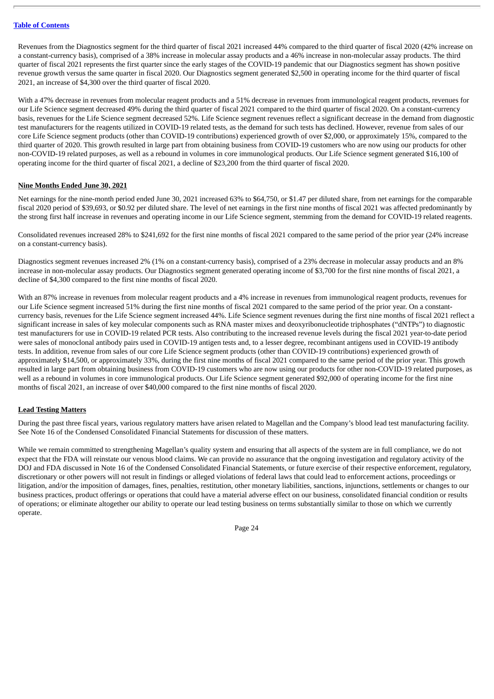Revenues from the Diagnostics segment for the third quarter of fiscal 2021 increased 44% compared to the third quarter of fiscal 2020 (42% increase on a constant-currency basis), comprised of a 38% increase in molecular assay products and a 46% increase in non-molecular assay products. The third quarter of fiscal 2021 represents the first quarter since the early stages of the COVID-19 pandemic that our Diagnostics segment has shown positive revenue growth versus the same quarter in fiscal 2020. Our Diagnostics segment generated \$2,500 in operating income for the third quarter of fiscal 2021, an increase of \$4,300 over the third quarter of fiscal 2020.

With a 47% decrease in revenues from molecular reagent products and a 51% decrease in revenues from immunological reagent products, revenues for our Life Science segment decreased 49% during the third quarter of fiscal 2021 compared to the third quarter of fiscal 2020. On a constant-currency basis, revenues for the Life Science segment decreased 52%. Life Science segment revenues reflect a significant decrease in the demand from diagnostic test manufacturers for the reagents utilized in COVID-19 related tests, as the demand for such tests has declined. However, revenue from sales of our core Life Science segment products (other than COVID-19 contributions) experienced growth of over \$2,000, or approximately 15%, compared to the third quarter of 2020. This growth resulted in large part from obtaining business from COVID-19 customers who are now using our products for other non-COVID-19 related purposes, as well as a rebound in volumes in core immunological products. Our Life Science segment generated \$16,100 of operating income for the third quarter of fiscal 2021, a decline of \$23,200 from the third quarter of fiscal 2020.

#### **Nine Months Ended June 30, 2021**

Net earnings for the nine-month period ended June 30, 2021 increased 63% to \$64,750, or \$1.47 per diluted share, from net earnings for the comparable fiscal 2020 period of \$39,693, or \$0.92 per diluted share. The level of net earnings in the first nine months of fiscal 2021 was affected predominantly by the strong first half increase in revenues and operating income in our Life Science segment, stemming from the demand for COVID-19 related reagents.

Consolidated revenues increased 28% to \$241,692 for the first nine months of fiscal 2021 compared to the same period of the prior year (24% increase on a constant-currency basis).

Diagnostics segment revenues increased 2% (1% on a constant-currency basis), comprised of a 23% decrease in molecular assay products and an 8% increase in non-molecular assay products. Our Diagnostics segment generated operating income of \$3,700 for the first nine months of fiscal 2021, a decline of \$4,300 compared to the first nine months of fiscal 2020.

With an 87% increase in revenues from molecular reagent products and a 4% increase in revenues from immunological reagent products, revenues for our Life Science segment increased 51% during the first nine months of fiscal 2021 compared to the same period of the prior year. On a constantcurrency basis, revenues for the Life Science segment increased 44%. Life Science segment revenues during the first nine months of fiscal 2021 reflect a significant increase in sales of key molecular components such as RNA master mixes and deoxyribonucleotide triphosphates ("dNTPs") to diagnostic test manufacturers for use in COVID-19 related PCR tests. Also contributing to the increased revenue levels during the fiscal 2021 year-to-date period were sales of monoclonal antibody pairs used in COVID-19 antigen tests and, to a lesser degree, recombinant antigens used in COVID-19 antibody tests. In addition, revenue from sales of our core Life Science segment products (other than COVID-19 contributions) experienced growth of approximately \$14,500, or approximately 33%, during the first nine months of fiscal 2021 compared to the same period of the prior year. This growth resulted in large part from obtaining business from COVID-19 customers who are now using our products for other non-COVID-19 related purposes, as well as a rebound in volumes in core immunological products. Our Life Science segment generated \$92,000 of operating income for the first nine months of fiscal 2021, an increase of over \$40,000 compared to the first nine months of fiscal 2020.

# **Lead Testing Matters**

During the past three fiscal years, various regulatory matters have arisen related to Magellan and the Company's blood lead test manufacturing facility. See Note 16 of the Condensed Consolidated Financial Statements for discussion of these matters.

While we remain committed to strengthening Magellan's quality system and ensuring that all aspects of the system are in full compliance, we do not expect that the FDA will reinstate our venous blood claims. We can provide no assurance that the ongoing investigation and regulatory activity of the DOJ and FDA discussed in Note 16 of the Condensed Consolidated Financial Statements, or future exercise of their respective enforcement, regulatory, discretionary or other powers will not result in findings or alleged violations of federal laws that could lead to enforcement actions, proceedings or litigation, and/or the imposition of damages, fines, penalties, restitution, other monetary liabilities, sanctions, injunctions, settlements or changes to our business practices, product offerings or operations that could have a material adverse effect on our business, consolidated financial condition or results of operations; or eliminate altogether our ability to operate our lead testing business on terms substantially similar to those on which we currently operate.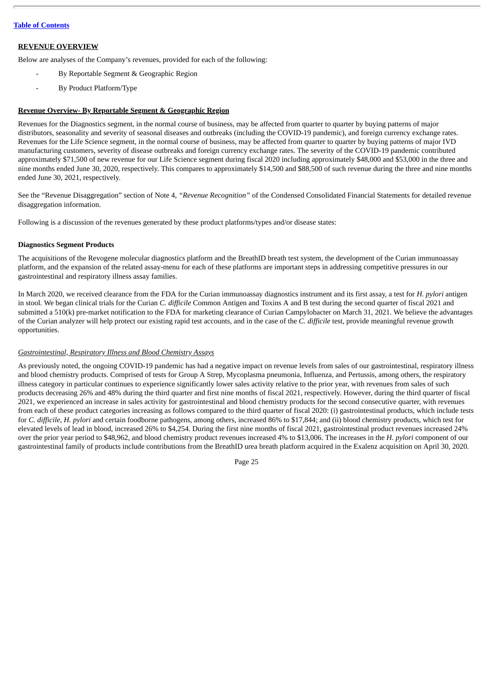# **REVENUE OVERVIEW**

Below are analyses of the Company's revenues, provided for each of the following:

- By Reportable Segment & Geographic Region
- By Product Platform/Type

#### **Revenue Overview- By Reportable Segment & Geographic Region**

Revenues for the Diagnostics segment, in the normal course of business, may be affected from quarter to quarter by buying patterns of major distributors, seasonality and severity of seasonal diseases and outbreaks (including the COVID-19 pandemic), and foreign currency exchange rates. Revenues for the Life Science segment, in the normal course of business, may be affected from quarter to quarter by buying patterns of major IVD manufacturing customers, severity of disease outbreaks and foreign currency exchange rates. The severity of the COVID-19 pandemic contributed approximately \$71,500 of new revenue for our Life Science segment during fiscal 2020 including approximately \$48,000 and \$53,000 in the three and nine months ended June 30, 2020, respectively. This compares to approximately \$14,500 and \$88,500 of such revenue during the three and nine months ended June 30, 2021, respectively.

See the "Revenue Disaggregation" section of Note 4, *"Revenue Recognition"* of the Condensed Consolidated Financial Statements for detailed revenue disaggregation information.

Following is a discussion of the revenues generated by these product platforms/types and/or disease states:

#### **Diagnostics Segment Products**

The acquisitions of the Revogene molecular diagnostics platform and the BreathID breath test system, the development of the Curian immunoassay platform, and the expansion of the related assay-menu for each of these platforms are important steps in addressing competitive pressures in our gastrointestinal and respiratory illness assay families.

In March 2020, we received clearance from the FDA for the Curian immunoassay diagnostics instrument and its first assay, a test for *H. pylori* antigen in stool. We began clinical trials for the Curian *C. difficile* Common Antigen and Toxins A and B test during the second quarter of fiscal 2021 and submitted a 510(k) pre-market notification to the FDA for marketing clearance of Curian Campylobacter on March 31, 2021. We believe the advantages of the Curian analyzer will help protect our existing rapid test accounts, and in the case of the *C. difficile* test, provide meaningful revenue growth opportunities.

#### *Gastrointestinal, Respiratory Illness and Blood Chemistry Assays*

As previously noted, the ongoing COVID-19 pandemic has had a negative impact on revenue levels from sales of our gastrointestinal, respiratory illness and blood chemistry products. Comprised of tests for Group A Strep, Mycoplasma pneumonia, Influenza, and Pertussis, among others, the respiratory illness category in particular continues to experience significantly lower sales activity relative to the prior year, with revenues from sales of such products decreasing 26% and 48% during the third quarter and first nine months of fiscal 2021, respectively. However, during the third quarter of fiscal 2021, we experienced an increase in sales activity for gastrointestinal and blood chemistry products for the second consecutive quarter, with revenues from each of these product categories increasing as follows compared to the third quarter of fiscal 2020: (i) gastrointestinal products, which include tests for *C. difficile*, *H. pylori* and certain foodborne pathogens, among others, increased 86% to \$17,844; and (ii) blood chemistry products, which test for elevated levels of lead in blood, increased 26% to \$4,254. During the first nine months of fiscal 2021, gastrointestinal product revenues increased 24% over the prior year period to \$48,962, and blood chemistry product revenues increased 4% to \$13,006. The increases in the *H. pylori* component of our gastrointestinal family of products include contributions from the BreathID urea breath platform acquired in the Exalenz acquisition on April 30, 2020.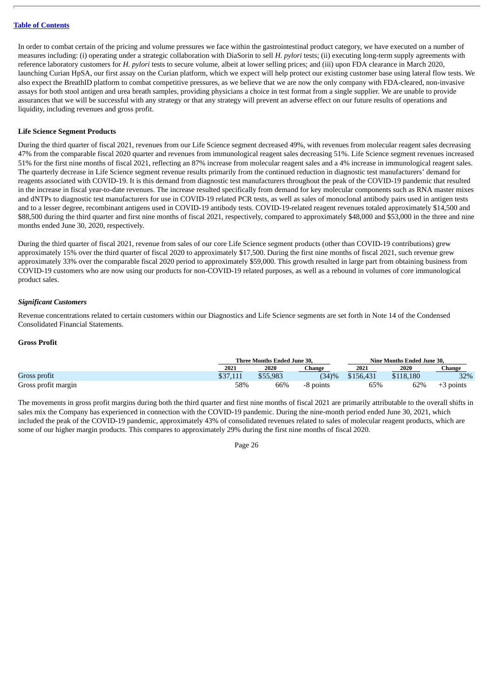In order to combat certain of the pricing and volume pressures we face within the gastrointestinal product category, we have executed on a number of measures including: (i) operating under a strategic collaboration with DiaSorin to sell *H. pylori* tests; (ii) executing long-term supply agreements with reference laboratory customers for *H. pylori* tests to secure volume, albeit at lower selling prices; and (iii) upon FDA clearance in March 2020, launching Curian HpSA, our first assay on the Curian platform, which we expect will help protect our existing customer base using lateral flow tests. We also expect the BreathID platform to combat competitive pressures, as we believe that we are now the only company with FDA-cleared, non-invasive assays for both stool antigen and urea breath samples, providing physicians a choice in test format from a single supplier. We are unable to provide assurances that we will be successful with any strategy or that any strategy will prevent an adverse effect on our future results of operations and liquidity, including revenues and gross profit.

#### **Life Science Segment Products**

During the third quarter of fiscal 2021, revenues from our Life Science segment decreased 49%, with revenues from molecular reagent sales decreasing 47% from the comparable fiscal 2020 quarter and revenues from immunological reagent sales decreasing 51%. Life Science segment revenues increased 51% for the first nine months of fiscal 2021, reflecting an 87% increase from molecular reagent sales and a 4% increase in immunological reagent sales. The quarterly decrease in Life Science segment revenue results primarily from the continued reduction in diagnostic test manufacturers' demand for reagents associated with COVID-19. It is this demand from diagnostic test manufacturers throughout the peak of the COVID-19 pandemic that resulted in the increase in fiscal year-to-date revenues. The increase resulted specifically from demand for key molecular components such as RNA master mixes and dNTPs to diagnostic test manufacturers for use in COVID-19 related PCR tests, as well as sales of monoclonal antibody pairs used in antigen tests and to a lesser degree, recombinant antigens used in COVID-19 antibody tests. COVID-19-related reagent revenues totaled approximately \$14,500 and \$88,500 during the third quarter and first nine months of fiscal 2021, respectively, compared to approximately \$48,000 and \$53,000 in the three and nine months ended June 30, 2020, respectively.

During the third quarter of fiscal 2021, revenue from sales of our core Life Science segment products (other than COVID-19 contributions) grew approximately 15% over the third quarter of fiscal 2020 to approximately \$17,500. During the first nine months of fiscal 2021, such revenue grew approximately 33% over the comparable fiscal 2020 period to approximately \$59,000. This growth resulted in large part from obtaining business from COVID-19 customers who are now using our products for non-COVID-19 related purposes, as well as a rebound in volumes of core immunological product sales.

#### *Significant Customers*

Revenue concentrations related to certain customers within our Diagnostics and Life Science segments are set forth in Note 14 of the Condensed Consolidated Financial Statements.

#### **Gross Profit**

|                     | Three Months Ended June 30. |          |           | Nine Months Ended June 30. |           |             |  |
|---------------------|-----------------------------|----------|-----------|----------------------------|-----------|-------------|--|
|                     | 2021                        | 2020     | Change    | 2021                       | 2020      | Change      |  |
| Gross profit        | \$37,111                    | \$55,983 | (34)%     | \$156,431                  | \$118,180 | 32%         |  |
| Gross profit margin | 58%                         | 66%      | -8 points | 65%                        | 62%       | $+3$ points |  |

The movements in gross profit margins during both the third quarter and first nine months of fiscal 2021 are primarily attributable to the overall shifts in sales mix the Company has experienced in connection with the COVID-19 pandemic. During the nine-month period ended June 30, 2021, which included the peak of the COVID-19 pandemic, approximately 43% of consolidated revenues related to sales of molecular reagent products, which are some of our higher margin products. This compares to approximately 29% during the first nine months of fiscal 2020.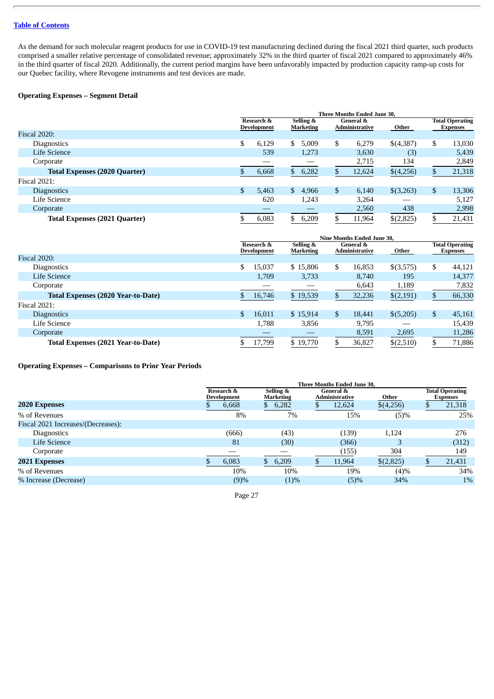As the demand for such molecular reagent products for use in COVID-19 test manufacturing declined during the fiscal 2021 third quarter, such products comprised a smaller relative percentage of consolidated revenue; approximately 32% in the third quarter of fiscal 2021 compared to approximately 46% in the third quarter of fiscal 2020. Additionally, the current period margins have been unfavorably impacted by production capacity ramp-up costs for our Quebec facility, where Revogene instruments and test devices are made.

# **Operating Expenses – Segment Detail**

|                                      | <b>Three Months Ended June 30.</b> |                |                               |    |                                               |           |    |                                           |  |  |
|--------------------------------------|------------------------------------|----------------|-------------------------------|----|-----------------------------------------------|-----------|----|-------------------------------------------|--|--|
|                                      | Research &<br>Development          |                | Selling &<br><b>Marketing</b> |    | <b>General &amp;</b><br><b>Administrative</b> | Other     |    | <b>Total Operating</b><br><b>Expenses</b> |  |  |
| <b>Fiscal 2020:</b>                  |                                    |                |                               |    |                                               |           |    |                                           |  |  |
| <b>Diagnostics</b>                   | \$<br>6.129                        | \$             | 5,009                         | \$ | 6.279                                         | \$(4,387) | \$ | 13,030                                    |  |  |
| Life Science                         | 539                                |                | 1,273                         |    | 3,630                                         | (3)       |    | 5,439                                     |  |  |
| Corporate                            |                                    |                |                               |    | 2,715                                         | 134       |    | 2,849                                     |  |  |
| <b>Total Expenses (2020 Quarter)</b> | 6,668                              | $\mathbb{S}^-$ | 6,282                         |    | 12,624                                        | \$(4,256) |    | 21,318                                    |  |  |
| <b>Fiscal 2021:</b>                  |                                    |                |                               |    |                                               |           |    |                                           |  |  |
| <b>Diagnostics</b>                   | \$<br>5,463                        | $\mathbb{S}^-$ | 4,966                         | \$ | 6,140                                         | \$(3,263) | \$ | 13,306                                    |  |  |
| Life Science                         | 620                                |                | 1,243                         |    | 3,264                                         |           |    | 5,127                                     |  |  |
| Corporate                            |                                    |                |                               |    | 2,560                                         | 438       |    | 2,998                                     |  |  |
| <b>Total Expenses (2021 Quarter)</b> | 6,083                              |                | 6,209                         | S  | 11,964                                        | \$(2,825) |    | 21,431                                    |  |  |

|                                    | <b>Nine Months Ended June 30,</b> |                           |                               |    |                             |           |    |                                           |  |
|------------------------------------|-----------------------------------|---------------------------|-------------------------------|----|-----------------------------|-----------|----|-------------------------------------------|--|
|                                    |                                   | Research &<br>Development | Selling &<br><b>Marketing</b> |    | General &<br>Administrative | Other     |    | <b>Total Operating</b><br><b>Expenses</b> |  |
| <b>Fiscal 2020:</b>                |                                   |                           |                               |    |                             |           |    |                                           |  |
| <b>Diagnostics</b>                 | S                                 | 15,037                    | \$15,806                      | \$ | 16,853                      | \$(3,575) | \$ | 44,121                                    |  |
| Life Science                       |                                   | 1,709                     | 3,733                         |    | 8,740                       | 195       |    | 14,377                                    |  |
| Corporate                          |                                   |                           |                               |    | 6,643                       | 1,189     |    | 7,832                                     |  |
| Total Expenses (2020 Year-to-Date) |                                   | 16,746                    | \$19,539                      |    | 32,236                      | \$(2,191) |    | 66,330                                    |  |
| <b>Fiscal 2021:</b>                |                                   |                           |                               |    |                             |           |    |                                           |  |
| <b>Diagnostics</b>                 | \$                                | 16,011                    | \$15,914                      | \$ | 18,441                      | \$(5,205) | \$ | 45,161                                    |  |
| Life Science                       |                                   | 1.788                     | 3,856                         |    | 9,795                       |           |    | 15,439                                    |  |
| Corporate                          |                                   |                           |                               |    | 8,591                       | 2,695     |    | 11,286                                    |  |
| Total Expenses (2021 Year-to-Date) |                                   | 17,799                    | \$19,770                      |    | 36,827                      | \$(2,510) |    | 71,886                                    |  |

**Operating Expenses – Comparisons to Prior Year Periods**

|                                    | <b>Three Months Ended June 30,</b> |                               |  |                             |           |  |                                           |  |  |
|------------------------------------|------------------------------------|-------------------------------|--|-----------------------------|-----------|--|-------------------------------------------|--|--|
|                                    | Research &<br><b>Development</b>   | Selling &<br><b>Marketing</b> |  | General &<br>Administrative | Other     |  | <b>Total Operating</b><br><b>Expenses</b> |  |  |
| <b>2020 Expenses</b>               | 6,668                              | 6,282<br>D                    |  | 12,624                      | \$(4,256) |  | 21,318                                    |  |  |
| % of Revenues                      | 8%                                 | 7%                            |  | 15%                         | (5)%      |  | 25%                                       |  |  |
| Fiscal 2021 Increases/(Decreases): |                                    |                               |  |                             |           |  |                                           |  |  |
| Diagnostics                        | (666)                              | (43)                          |  | (139)                       | 1,124     |  | 276                                       |  |  |
| Life Science                       | 81                                 | (30)                          |  | (366)                       | З         |  | (312)                                     |  |  |
| Corporate                          |                                    |                               |  | (155)                       | 304       |  | 149                                       |  |  |
| <b>2021 Expenses</b>               | 6,083                              | 6,209                         |  | 11,964                      | \$(2,825) |  | 21,431                                    |  |  |
| % of Revenues                      | 10%                                | 10%                           |  | 19%                         | (4)%      |  | 34%                                       |  |  |
| % Increase (Decrease)              | (9)%                               | (1)%                          |  | (5)%                        | 34%       |  | $1\%$                                     |  |  |
|                                    |                                    |                               |  |                             |           |  |                                           |  |  |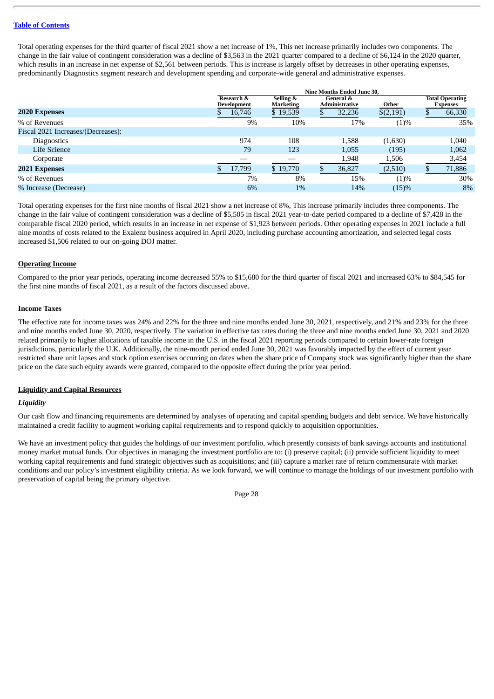Total operating expenses for the third quarter of fiscal 2021 show a net increase of 1%, This net increase primarily includes two components. The change in the fair value of contingent consideration was a decline of \$3,563 in the 2021 quarter compared to a decline of \$6,124 in the 2020 quarter, which results in an increase in net expense of \$2,561 between periods. This is increase is largely offset by decreases in other operating expenses, predominantly Diagnostics segment research and development spending and corporate-wide general and administrative expenses.

|                                    | Nine Months Ended June 30.       |                               |  |                                    |           |  |                                           |  |
|------------------------------------|----------------------------------|-------------------------------|--|------------------------------------|-----------|--|-------------------------------------------|--|
|                                    | Research &<br><b>Development</b> | Selling &<br><b>Marketing</b> |  | General &<br><b>Administrative</b> | Other     |  | <b>Total Operating</b><br><b>Expenses</b> |  |
| <b>2020 Expenses</b>               | 16,746                           | \$19,539                      |  | 32,236                             | \$(2,191) |  | 66,330                                    |  |
| % of Revenues                      | 9%                               | 10%                           |  | 17%                                | (1)%      |  | 35%                                       |  |
| Fiscal 2021 Increases/(Decreases): |                                  |                               |  |                                    |           |  |                                           |  |
| <b>Diagnostics</b>                 | 974                              | 108                           |  | 1,588                              | (1,630)   |  | 1,040                                     |  |
| Life Science                       | 79                               | 123                           |  | 1,055                              | (195)     |  | 1,062                                     |  |
| Corporate                          |                                  |                               |  | 1,948                              | 1,506     |  | 3,454                                     |  |
| <b>2021 Expenses</b>               | 17,799                           | \$19,770                      |  | 36,827                             | (2,510)   |  | 71,886                                    |  |
| % of Revenues                      | 7%                               | 8%                            |  | 15%                                | (1)%      |  | 30%                                       |  |
| % Increase (Decrease)              | 6%                               | 1%                            |  | 14%                                | (15)%     |  | 8%                                        |  |

Total operating expenses for the first nine months of fiscal 2021 show a net increase of 8%, This increase primarily includes three components. The change in the fair value of contingent consideration was a decline of \$5,505 in fiscal 2021 year-to-date period compared to a decline of \$7,428 in the comparable fiscal 2020 period, which results in an increase in net expense of \$1,923 between periods. Other operating expenses in 2021 include a full nine months of costs related to the Exalenz business acquired in April 2020, including purchase accounting amortization, and selected legal costs increased \$1,506 related to our on-going DOJ matter.

# **Operating Income**

Compared to the prior year periods, operating income decreased 55% to \$15,680 for the third quarter of fiscal 2021 and increased 63% to \$84,545 for the first nine months of fiscal 2021, as a result of the factors discussed above.

#### **Income Taxes**

The effective rate for income taxes was 24% and 22% for the three and nine months ended June 30, 2021, respectively, and 21% and 23% for the three and nine months ended June 30, 2020, respectively. The variation in effective tax rates during the three and nine months ended June 30, 2021 and 2020 related primarily to higher allocations of taxable income in the U.S. in the fiscal 2021 reporting periods compared to certain lower-rate foreign jurisdictions, particularly the U.K. Additionally, the nine-month period ended June 30, 2021 was favorably impacted by the effect of current year restricted share unit lapses and stock option exercises occurring on dates when the share price of Company stock was significantly higher than the share price on the date such equity awards were granted, compared to the opposite effect during the prior year period.

#### **Liquidity and Capital Resources**

#### *Liquidity*

Our cash flow and financing requirements are determined by analyses of operating and capital spending budgets and debt service. We have historically maintained a credit facility to augment working capital requirements and to respond quickly to acquisition opportunities.

We have an investment policy that guides the holdings of our investment portfolio, which presently consists of bank savings accounts and institutional money market mutual funds. Our objectives in managing the investment portfolio are to: (i) preserve capital; (ii) provide sufficient liquidity to meet working capital requirements and fund strategic objectives such as acquisitions; and (iii) capture a market rate of return commensurate with market conditions and our policy's investment eligibility criteria. As we look forward, we will continue to manage the holdings of our investment portfolio with preservation of capital being the primary objective.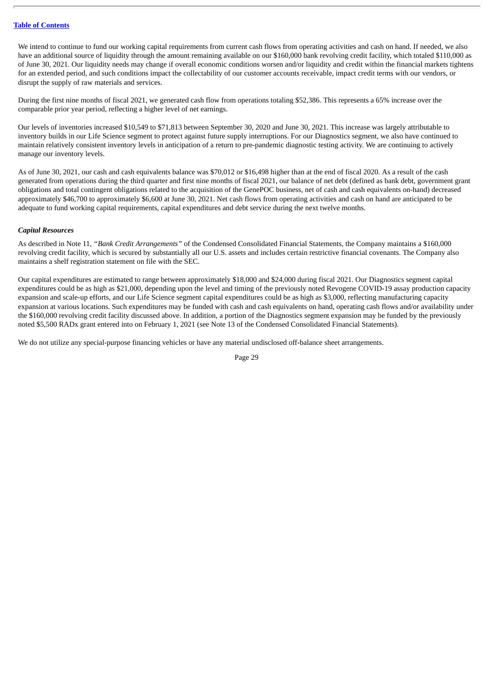We intend to continue to fund our working capital requirements from current cash flows from operating activities and cash on hand. If needed, we also have an additional source of liquidity through the amount remaining available on our \$160,000 bank revolving credit facility, which totaled \$110,000 as of June 30, 2021. Our liquidity needs may change if overall economic conditions worsen and/or liquidity and credit within the financial markets tightens for an extended period, and such conditions impact the collectability of our customer accounts receivable, impact credit terms with our vendors, or disrupt the supply of raw materials and services.

During the first nine months of fiscal 2021, we generated cash flow from operations totaling \$52,386. This represents a 65% increase over the comparable prior year period, reflecting a higher level of net earnings.

Our levels of inventories increased \$10,549 to \$71,813 between September 30, 2020 and June 30, 2021. This increase was largely attributable to inventory builds in our Life Science segment to protect against future supply interruptions. For our Diagnostics segment, we also have continued to maintain relatively consistent inventory levels in anticipation of a return to pre-pandemic diagnostic testing activity. We are continuing to actively manage our inventory levels.

As of June 30, 2021, our cash and cash equivalents balance was \$70,012 or \$16,498 higher than at the end of fiscal 2020. As a result of the cash generated from operations during the third quarter and first nine months of fiscal 2021, our balance of net debt (defined as bank debt, government grant obligations and total contingent obligations related to the acquisition of the GenePOC business, net of cash and cash equivalents on-hand) decreased approximately \$46,700 to approximately \$6,600 at June 30, 2021. Net cash flows from operating activities and cash on hand are anticipated to be adequate to fund working capital requirements, capital expenditures and debt service during the next twelve months.

# *Capital Resources*

As described in Note 11, *"Bank Credit Arrangements"* of the Condensed Consolidated Financial Statements, the Company maintains a \$160,000 revolving credit facility, which is secured by substantially all our U.S. assets and includes certain restrictive financial covenants. The Company also maintains a shelf registration statement on file with the SEC.

Our capital expenditures are estimated to range between approximately \$18,000 and \$24,000 during fiscal 2021. Our Diagnostics segment capital expenditures could be as high as \$21,000, depending upon the level and timing of the previously noted Revogene COVID-19 assay production capacity expansion and scale-up efforts, and our Life Science segment capital expenditures could be as high as \$3,000, reflecting manufacturing capacity expansion at various locations. Such expenditures may be funded with cash and cash equivalents on hand, operating cash flows and/or availability under the \$160,000 revolving credit facility discussed above. In addition, a portion of the Diagnostics segment expansion may be funded by the previously noted \$5,500 RADx grant entered into on February 1, 2021 (see Note 13 of the Condensed Consolidated Financial Statements).

We do not utilize any special-purpose financing vehicles or have any material undisclosed off-balance sheet arrangements.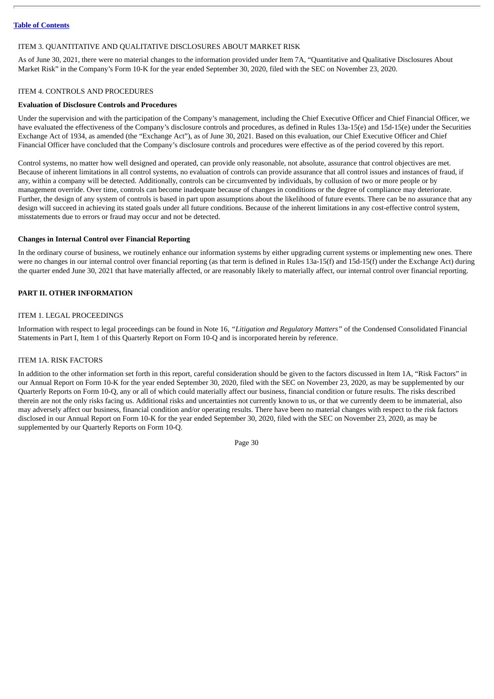#### <span id="page-32-0"></span>ITEM 3. QUANTITATIVE AND QUALITATIVE DISCLOSURES ABOUT MARKET RISK

As of June 30, 2021, there were no material changes to the information provided under Item 7A, "Quantitative and Qualitative Disclosures About Market Risk" in the Company's Form 10-K for the year ended September 30, 2020, filed with the SEC on November 23, 2020.

#### <span id="page-32-1"></span>ITEM 4. CONTROLS AND PROCEDURES

#### **Evaluation of Disclosure Controls and Procedures**

Under the supervision and with the participation of the Company's management, including the Chief Executive Officer and Chief Financial Officer, we have evaluated the effectiveness of the Company's disclosure controls and procedures, as defined in Rules 13a-15(e) and 15d-15(e) under the Securities Exchange Act of 1934, as amended (the "Exchange Act"), as of June 30, 2021. Based on this evaluation, our Chief Executive Officer and Chief Financial Officer have concluded that the Company's disclosure controls and procedures were effective as of the period covered by this report.

Control systems, no matter how well designed and operated, can provide only reasonable, not absolute, assurance that control objectives are met. Because of inherent limitations in all control systems, no evaluation of controls can provide assurance that all control issues and instances of fraud, if any, within a company will be detected. Additionally, controls can be circumvented by individuals, by collusion of two or more people or by management override. Over time, controls can become inadequate because of changes in conditions or the degree of compliance may deteriorate. Further, the design of any system of controls is based in part upon assumptions about the likelihood of future events. There can be no assurance that any design will succeed in achieving its stated goals under all future conditions. Because of the inherent limitations in any cost-effective control system, misstatements due to errors or fraud may occur and not be detected.

#### **Changes in Internal Control over Financial Reporting**

In the ordinary course of business, we routinely enhance our information systems by either upgrading current systems or implementing new ones. There were no changes in our internal control over financial reporting (as that term is defined in Rules 13a-15(f) and 15d-15(f) under the Exchange Act) during the quarter ended June 30, 2021 that have materially affected, or are reasonably likely to materially affect, our internal control over financial reporting.

#### <span id="page-32-2"></span>**PART II. OTHER INFORMATION**

#### <span id="page-32-3"></span>ITEM 1. LEGAL PROCEEDINGS

Information with respect to legal proceedings can be found in Note 16, *"Litigation and Regulatory Matters"* of the Condensed Consolidated Financial Statements in Part I, Item 1 of this Quarterly Report on Form 10-Q and is incorporated herein by reference.

#### <span id="page-32-4"></span>ITEM 1A. RISK FACTORS

In addition to the other information set forth in this report, careful consideration should be given to the factors discussed in Item 1A, "Risk Factors" in our Annual Report on Form 10-K for the year ended September 30, 2020, filed with the SEC on November 23, 2020, as may be supplemented by our Quarterly Reports on Form 10-Q, any or all of which could materially affect our business, financial condition or future results. The risks described therein are not the only risks facing us. Additional risks and uncertainties not currently known to us, or that we currently deem to be immaterial, also may adversely affect our business, financial condition and/or operating results. There have been no material changes with respect to the risk factors disclosed in our Annual Report on Form 10-K for the year ended September 30, 2020, filed with the SEC on November 23, 2020, as may be supplemented by our Quarterly Reports on Form 10-Q.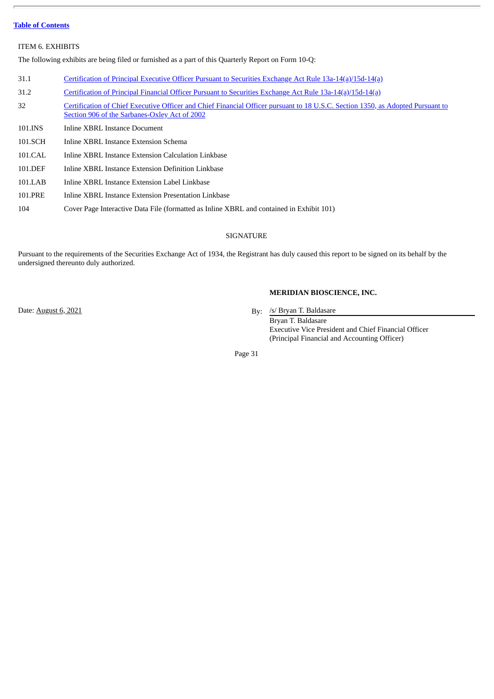#### <span id="page-33-0"></span>ITEM 6. EXHIBITS

The following exhibits are being filed or furnished as a part of this Quarterly Report on Form 10-Q:

| 31.1<br>Certification of Principal Executive Officer Pursuant to Securities Exchange Act Rule 13a-14(a)/15d-14(a)                                                                      |  |
|----------------------------------------------------------------------------------------------------------------------------------------------------------------------------------------|--|
|                                                                                                                                                                                        |  |
| 31.2<br>Certification of Principal Financial Officer Pursuant to Securities Exchange Act Rule 13a-14(a)/15d-14(a)                                                                      |  |
| 32<br>Certification of Chief Executive Officer and Chief Financial Officer pursuant to 18 U.S.C. Section 1350, as Adopted Pursuant to<br>Section 906 of the Sarbanes-Oxley Act of 2002 |  |
| 101.INS<br>Inline XBRL Instance Document                                                                                                                                               |  |
| 101.SCH<br>Inline XBRL Instance Extension Schema                                                                                                                                       |  |
| 101.CAL<br>Inline XBRL Instance Extension Calculation Linkbase                                                                                                                         |  |
| 101.DEF<br>Inline XBRL Instance Extension Definition Linkbase                                                                                                                          |  |

- 101.LAB Inline XBRL Instance Extension Label Linkbase
- 101.PRE Inline XBRL Instance Extension Presentation Linkbase
- 104 Cover Page Interactive Data File (formatted as Inline XBRL and contained in Exhibit 101)

# SIGNATURE

<span id="page-33-1"></span>Pursuant to the requirements of the Securities Exchange Act of 1934, the Registrant has duly caused this report to be signed on its behalf by the undersigned thereunto duly authorized.

#### **MERIDIAN BIOSCIENCE, INC.**

By: /s/ Bryan T. Baldasare

Bryan T. Baldasare Executive Vice President and Chief Financial Officer (Principal Financial and Accounting Officer)

Page 31

Date: **August 6, 2021**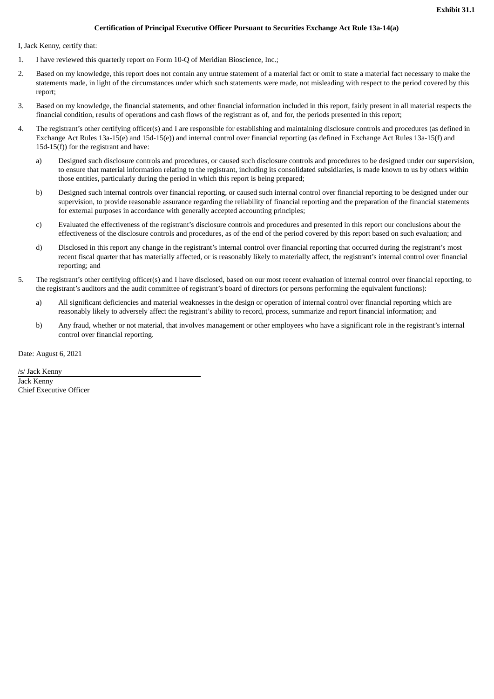#### **Certification of Principal Executive Officer Pursuant to Securities Exchange Act Rule 13a-14(a)**

<span id="page-34-0"></span>I, Jack Kenny, certify that:

- 1. I have reviewed this quarterly report on Form 10-Q of Meridian Bioscience, Inc.;
- 2. Based on my knowledge, this report does not contain any untrue statement of a material fact or omit to state a material fact necessary to make the statements made, in light of the circumstances under which such statements were made, not misleading with respect to the period covered by this report;
- 3. Based on my knowledge, the financial statements, and other financial information included in this report, fairly present in all material respects the financial condition, results of operations and cash flows of the registrant as of, and for, the periods presented in this report;
- 4. The registrant's other certifying officer(s) and I are responsible for establishing and maintaining disclosure controls and procedures (as defined in Exchange Act Rules 13a-15(e) and 15d-15(e)) and internal control over financial reporting (as defined in Exchange Act Rules 13a-15(f) and 15d-15(f)) for the registrant and have:
	- a) Designed such disclosure controls and procedures, or caused such disclosure controls and procedures to be designed under our supervision, to ensure that material information relating to the registrant, including its consolidated subsidiaries, is made known to us by others within those entities, particularly during the period in which this report is being prepared;
	- b) Designed such internal controls over financial reporting, or caused such internal control over financial reporting to be designed under our supervision, to provide reasonable assurance regarding the reliability of financial reporting and the preparation of the financial statements for external purposes in accordance with generally accepted accounting principles;
	- c) Evaluated the effectiveness of the registrant's disclosure controls and procedures and presented in this report our conclusions about the effectiveness of the disclosure controls and procedures, as of the end of the period covered by this report based on such evaluation; and
	- d) Disclosed in this report any change in the registrant's internal control over financial reporting that occurred during the registrant's most recent fiscal quarter that has materially affected, or is reasonably likely to materially affect, the registrant's internal control over financial reporting; and
- 5. The registrant's other certifying officer(s) and I have disclosed, based on our most recent evaluation of internal control over financial reporting, to the registrant's auditors and the audit committee of registrant's board of directors (or persons performing the equivalent functions):
	- a) All significant deficiencies and material weaknesses in the design or operation of internal control over financial reporting which are reasonably likely to adversely affect the registrant's ability to record, process, summarize and report financial information; and
	- b) Any fraud, whether or not material, that involves management or other employees who have a significant role in the registrant's internal control over financial reporting.

Date: August 6, 2021

/s/ Jack Kenny Jack Kenny

Chief Executive Officer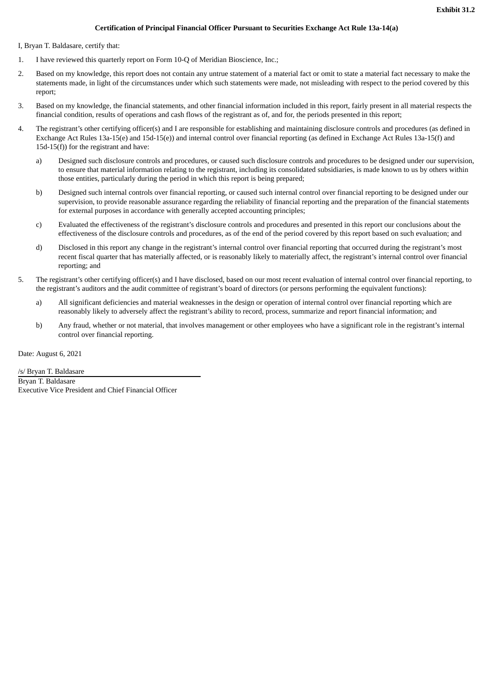#### **Certification of Principal Financial Officer Pursuant to Securities Exchange Act Rule 13a-14(a)**

<span id="page-35-0"></span>I, Bryan T. Baldasare, certify that:

- 1. I have reviewed this quarterly report on Form 10-Q of Meridian Bioscience, Inc.;
- 2. Based on my knowledge, this report does not contain any untrue statement of a material fact or omit to state a material fact necessary to make the statements made, in light of the circumstances under which such statements were made, not misleading with respect to the period covered by this report;
- 3. Based on my knowledge, the financial statements, and other financial information included in this report, fairly present in all material respects the financial condition, results of operations and cash flows of the registrant as of, and for, the periods presented in this report;
- 4. The registrant's other certifying officer(s) and I are responsible for establishing and maintaining disclosure controls and procedures (as defined in Exchange Act Rules 13a-15(e) and 15d-15(e)) and internal control over financial reporting (as defined in Exchange Act Rules 13a-15(f) and 15d-15(f)) for the registrant and have:
	- a) Designed such disclosure controls and procedures, or caused such disclosure controls and procedures to be designed under our supervision, to ensure that material information relating to the registrant, including its consolidated subsidiaries, is made known to us by others within those entities, particularly during the period in which this report is being prepared;
	- b) Designed such internal controls over financial reporting, or caused such internal control over financial reporting to be designed under our supervision, to provide reasonable assurance regarding the reliability of financial reporting and the preparation of the financial statements for external purposes in accordance with generally accepted accounting principles;
	- c) Evaluated the effectiveness of the registrant's disclosure controls and procedures and presented in this report our conclusions about the effectiveness of the disclosure controls and procedures, as of the end of the period covered by this report based on such evaluation; and
	- d) Disclosed in this report any change in the registrant's internal control over financial reporting that occurred during the registrant's most recent fiscal quarter that has materially affected, or is reasonably likely to materially affect, the registrant's internal control over financial reporting; and
- 5. The registrant's other certifying officer(s) and I have disclosed, based on our most recent evaluation of internal control over financial reporting, to the registrant's auditors and the audit committee of registrant's board of directors (or persons performing the equivalent functions):
	- a) All significant deficiencies and material weaknesses in the design or operation of internal control over financial reporting which are reasonably likely to adversely affect the registrant's ability to record, process, summarize and report financial information; and
	- b) Any fraud, whether or not material, that involves management or other employees who have a significant role in the registrant's internal control over financial reporting.

Date: August 6, 2021

/s/ Bryan T. Baldasare Bryan T. Baldasare Executive Vice President and Chief Financial Officer